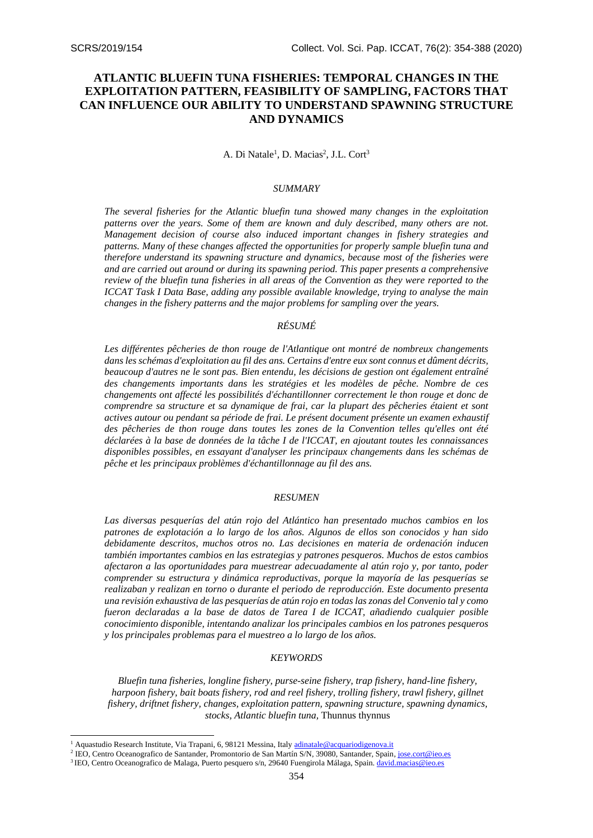# **ATLANTIC BLUEFIN TUNA FISHERIES: TEMPORAL CHANGES IN THE EXPLOITATION PATTERN, FEASIBILITY OF SAMPLING, FACTORS THAT CAN INFLUENCE OUR ABILITY TO UNDERSTAND SPAWNING STRUCTURE AND DYNAMICS**

A. Di Natale<sup>1</sup>, D. Macias<sup>2</sup>, J.L. Cort<sup>3</sup>

#### *SUMMARY*

*The several fisheries for the Atlantic bluefin tuna showed many changes in the exploitation patterns over the years. Some of them are known and duly described, many others are not. Management decision of course also induced important changes in fishery strategies and patterns. Many of these changes affected the opportunities for properly sample bluefin tuna and therefore understand its spawning structure and dynamics, because most of the fisheries were and are carried out around or during its spawning period. This paper presents a comprehensive review of the bluefin tuna fisheries in all areas of the Convention as they were reported to the ICCAT Task I Data Base, adding any possible available knowledge, trying to analyse the main changes in the fishery patterns and the major problems for sampling over the years.* 

## *RÉSUMÉ*

Les différentes pêcheries de thon rouge de l'Atlantique ont montré de nombreux changements *dans les schémas d'exploitation au fil des ans. Certains d'entre eux sont connus et dûment décrits, beaucoup d'autres ne le sont pas. Bien entendu, les décisions de gestion ont également entraîné des changements importants dans les stratégies et les modèles de pêche. Nombre de ces changements ont affecté les possibilités d'échantillonner correctement le thon rouge et donc de comprendre sa structure et sa dynamique de frai, car la plupart des pêcheries étaient et sont actives autour ou pendant sa période de frai. Le présent document présente un examen exhaustif des pêcheries de thon rouge dans toutes les zones de la Convention telles qu'elles ont été déclarées à la base de données de la tâche I de l'ICCAT, en ajoutant toutes les connaissances disponibles possibles, en essayant d'analyser les principaux changements dans les schémas de pêche et les principaux problèmes d'échantillonnage au fil des ans.* 

### *RESUMEN*

*Las diversas pesquerías del atún rojo del Atlántico han presentado muchos cambios en los patrones de explotación a lo largo de los años. Algunos de ellos son conocidos y han sido debidamente descritos, muchos otros no. Las decisiones en materia de ordenación inducen también importantes cambios en las estrategias y patrones pesqueros. Muchos de estos cambios afectaron a las oportunidades para muestrear adecuadamente al atún rojo y, por tanto, poder comprender su estructura y dinámica reproductivas, porque la mayoría de las pesquerías se realizaban y realizan en torno o durante el periodo de reproducción. Este documento presenta una revisión exhaustiva de las pesquerías de atún rojo en todas las zonas del Convenio tal y como fueron declaradas a la base de datos de Tarea I de ICCAT, añadiendo cualquier posible conocimiento disponible, intentando analizar los principales cambios en los patrones pesqueros y los principales problemas para el muestreo a lo largo de los años.* 

### *KEYWORDS*

*Bluefin tuna fisheries, longline fishery, purse-seine fishery, trap fishery, hand-line fishery, harpoon fishery, bait boats fishery, rod and reel fishery, trolling fishery, trawl fishery, gillnet fishery, driftnet fishery, changes, exploitation pattern, spawning structure, spawning dynamics, stocks, Atlantic bluefin tuna,* Thunnus thynnus

<sup>&</sup>lt;sup>1</sup> Aquastudio Research Institute, Via Trapani, 6, 98121 Messina, Ital[y adinatale@acquariodigenova.it](mailto:adinatale@acquariodigenova.it)

<sup>&</sup>lt;sup>2</sup> IEO, Centro Oceanografico de Santander, Promontorio de San Martín S/N, 39080, Santander, Spain[, jose.cort@ieo.es](mailto:jose.cort@ieo.es)

<sup>&</sup>lt;sup>3</sup> IEO, Centro Oceanografico de Malaga, Puerto pesquero s/n, 29640 Fuengirola Málaga, Spain[. david.macias@ieo.es](mailto:david.macias@ieo.es)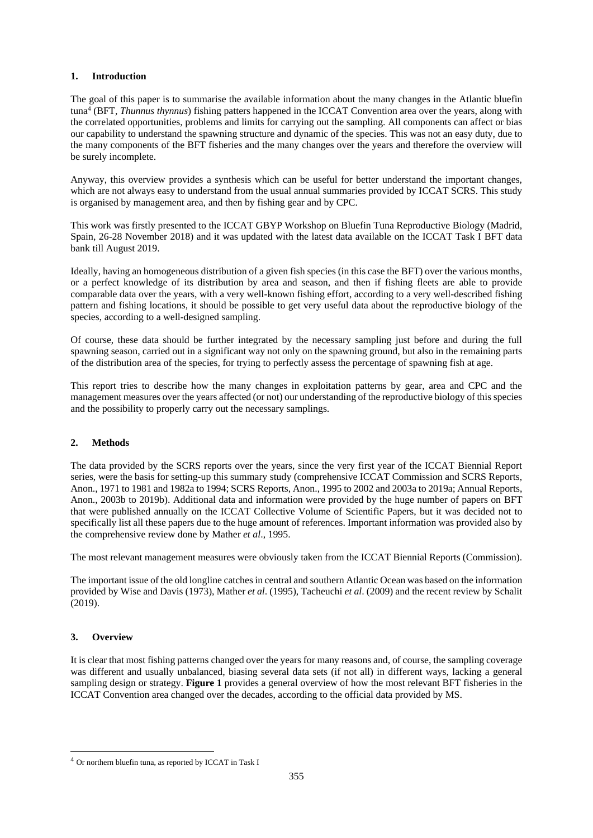### **1. Introduction**

The goal of this paper is to summarise the available information about the many changes in the Atlantic bluefin tuna<sup>4</sup> (BFT, *Thunnus thynnus*) fishing patters happened in the ICCAT Convention area over the years, along with the correlated opportunities, problems and limits for carrying out the sampling. All components can affect or bias our capability to understand the spawning structure and dynamic of the species. This was not an easy duty, due to the many components of the BFT fisheries and the many changes over the years and therefore the overview will be surely incomplete.

Anyway, this overview provides a synthesis which can be useful for better understand the important changes, which are not always easy to understand from the usual annual summaries provided by ICCAT SCRS. This study is organised by management area, and then by fishing gear and by CPC.

This work was firstly presented to the ICCAT GBYP Workshop on Bluefin Tuna Reproductive Biology (Madrid, Spain, 26-28 November 2018) and it was updated with the latest data available on the ICCAT Task I BFT data bank till August 2019.

Ideally, having an homogeneous distribution of a given fish species (in this case the BFT) over the various months, or a perfect knowledge of its distribution by area and season, and then if fishing fleets are able to provide comparable data over the years, with a very well-known fishing effort, according to a very well-described fishing pattern and fishing locations, it should be possible to get very useful data about the reproductive biology of the species, according to a well-designed sampling.

Of course, these data should be further integrated by the necessary sampling just before and during the full spawning season, carried out in a significant way not only on the spawning ground, but also in the remaining parts of the distribution area of the species, for trying to perfectly assess the percentage of spawning fish at age.

This report tries to describe how the many changes in exploitation patterns by gear, area and CPC and the management measures over the years affected (or not) our understanding of the reproductive biology of this species and the possibility to properly carry out the necessary samplings.

## **2. Methods**

The data provided by the SCRS reports over the years, since the very first year of the ICCAT Biennial Report series, were the basis for setting-up this summary study (comprehensive ICCAT Commission and SCRS Reports, Anon., 1971 to 1981 and 1982a to 1994; SCRS Reports, Anon., 1995 to 2002 and 2003a to 2019a; Annual Reports, Anon., 2003b to 2019b). Additional data and information were provided by the huge number of papers on BFT that were published annually on the ICCAT Collective Volume of Scientific Papers, but it was decided not to specifically list all these papers due to the huge amount of references. Important information was provided also by the comprehensive review done by Mather *et al*., 1995.

The most relevant management measures were obviously taken from the ICCAT Biennial Reports (Commission).

The important issue of the old longline catches in central and southern Atlantic Ocean was based on the information provided by Wise and Davis (1973), Mather *et al*. (1995), Tacheuchi *et al*. (2009) and the recent review by Schalit (2019).

### **3. Overview**

It is clear that most fishing patterns changed over the years for many reasons and, of course, the sampling coverage was different and usually unbalanced, biasing several data sets (if not all) in different ways, lacking a general sampling design or strategy. **Figure 1** provides a general overview of how the most relevant BFT fisheries in the ICCAT Convention area changed over the decades, according to the official data provided by MS.

<sup>4</sup> Or northern bluefin tuna, as reported by ICCAT in Task I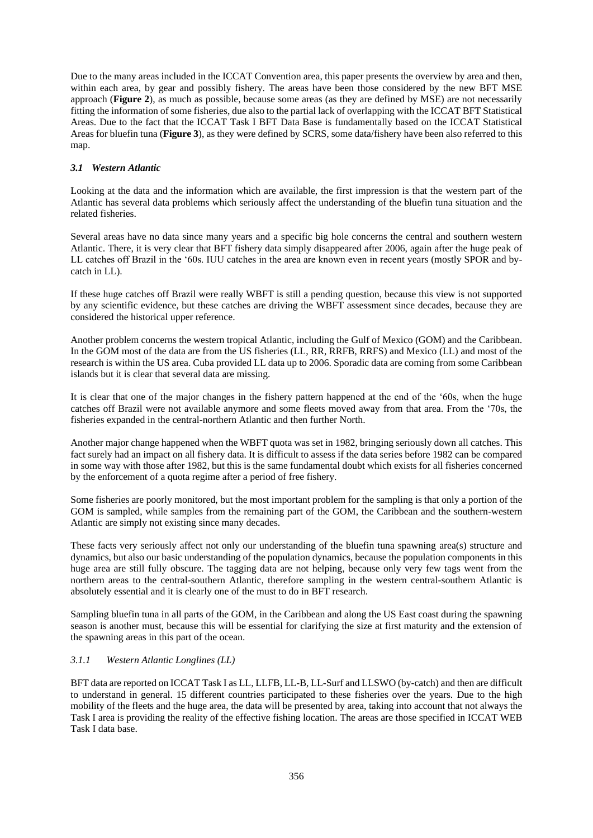Due to the many areas included in the ICCAT Convention area, this paper presents the overview by area and then, within each area, by gear and possibly fishery. The areas have been those considered by the new BFT MSE approach (**Figure 2**), as much as possible, because some areas (as they are defined by MSE) are not necessarily fitting the information of some fisheries, due also to the partial lack of overlapping with the ICCAT BFT Statistical Areas. Due to the fact that the ICCAT Task I BFT Data Base is fundamentally based on the ICCAT Statistical Areas for bluefin tuna (**Figure 3**), as they were defined by SCRS, some data/fishery have been also referred to this map.

## *3.1 Western Atlantic*

Looking at the data and the information which are available, the first impression is that the western part of the Atlantic has several data problems which seriously affect the understanding of the bluefin tuna situation and the related fisheries.

Several areas have no data since many years and a specific big hole concerns the central and southern western Atlantic. There, it is very clear that BFT fishery data simply disappeared after 2006, again after the huge peak of LL catches off Brazil in the '60s. IUU catches in the area are known even in recent years (mostly SPOR and bycatch in LL).

If these huge catches off Brazil were really WBFT is still a pending question, because this view is not supported by any scientific evidence, but these catches are driving the WBFT assessment since decades, because they are considered the historical upper reference.

Another problem concerns the western tropical Atlantic, including the Gulf of Mexico (GOM) and the Caribbean. In the GOM most of the data are from the US fisheries (LL, RR, RRFB, RRFS) and Mexico (LL) and most of the research is within the US area. Cuba provided LL data up to 2006. Sporadic data are coming from some Caribbean islands but it is clear that several data are missing.

It is clear that one of the major changes in the fishery pattern happened at the end of the '60s, when the huge catches off Brazil were not available anymore and some fleets moved away from that area. From the '70s, the fisheries expanded in the central-northern Atlantic and then further North.

Another major change happened when the WBFT quota was set in 1982, bringing seriously down all catches. This fact surely had an impact on all fishery data. It is difficult to assess if the data series before 1982 can be compared in some way with those after 1982, but this is the same fundamental doubt which exists for all fisheries concerned by the enforcement of a quota regime after a period of free fishery.

Some fisheries are poorly monitored, but the most important problem for the sampling is that only a portion of the GOM is sampled, while samples from the remaining part of the GOM, the Caribbean and the southern-western Atlantic are simply not existing since many decades.

These facts very seriously affect not only our understanding of the bluefin tuna spawning area(s) structure and dynamics, but also our basic understanding of the population dynamics, because the population components in this huge area are still fully obscure. The tagging data are not helping, because only very few tags went from the northern areas to the central-southern Atlantic, therefore sampling in the western central-southern Atlantic is absolutely essential and it is clearly one of the must to do in BFT research.

Sampling bluefin tuna in all parts of the GOM, in the Caribbean and along the US East coast during the spawning season is another must, because this will be essential for clarifying the size at first maturity and the extension of the spawning areas in this part of the ocean.

# *3.1.1 Western Atlantic Longlines (LL)*

BFT data are reported on ICCAT Task I as LL, LLFB, LL-B, LL-Surf and LLSWO (by-catch) and then are difficult to understand in general. 15 different countries participated to these fisheries over the years. Due to the high mobility of the fleets and the huge area, the data will be presented by area, taking into account that not always the Task I area is providing the reality of the effective fishing location. The areas are those specified in ICCAT WEB Task I data base.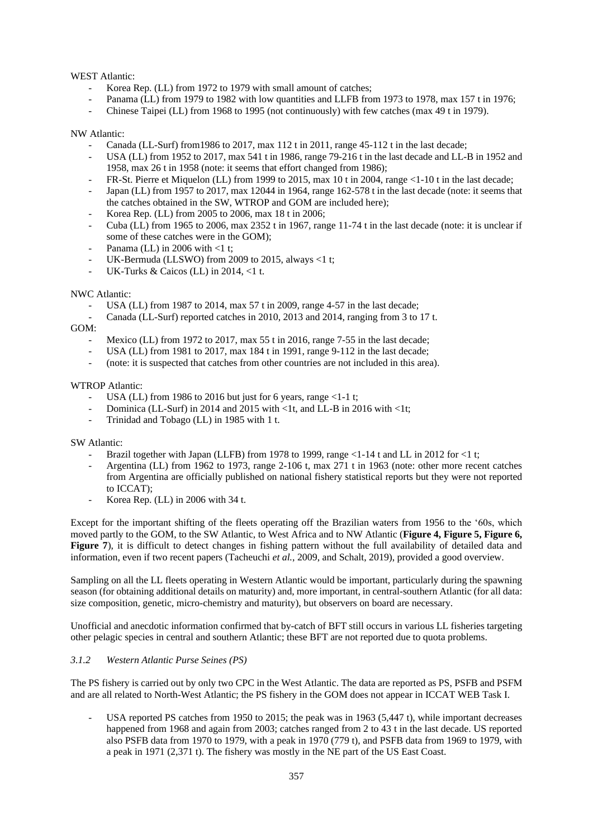## WEST Atlantic:

- Korea Rep. (LL) from 1972 to 1979 with small amount of catches;
- Panama (LL) from 1979 to 1982 with low quantities and LLFB from 1973 to 1978, max 157 t in 1976;
- Chinese Taipei (LL) from 1968 to 1995 (not continuously) with few catches (max 49 t in 1979).

### NW Atlantic:

- Canada (LL-Surf) from 1986 to 2017, max 112 t in 2011, range  $45-112$  t in the last decade;
- USA (LL) from 1952 to 2017, max 541 t in 1986, range 79-216 t in the last decade and LL-B in 1952 and 1958, max 26 t in 1958 (note: it seems that effort changed from 1986);
- FR-St. Pierre et Miquelon (LL) from 1999 to 2015, max 10 t in 2004, range <1-10 t in the last decade;
- Japan (LL) from 1957 to 2017, max 12044 in 1964, range 162-578 t in the last decade (note: it seems that the catches obtained in the SW, WTROP and GOM are included here);
- Korea Rep. (LL) from 2005 to 2006, max 18 t in 2006;
- Cuba (LL) from 1965 to 2006, max 2352 t in 1967, range 11-74 t in the last decade (note: it is unclear if some of these catches were in the GOM);
- Panama (LL) in 2006 with  $<$ 1 t;
- UK-Bermuda (LLSWO) from 2009 to 2015, always  $\leq 1$  t;
- UK-Turks & Caicos (LL) in 2014, <1 t.

## NWC Atlantic:

- USA (LL) from 1987 to 2014, max 57 t in 2009, range 4-57 in the last decade;
- Canada (LL-Surf) reported catches in 2010, 2013 and 2014, ranging from 3 to 17 t.

GOM:

- Mexico (LL) from 1972 to 2017, max 55 t in 2016, range 7-55 in the last decade;
- USA (LL) from 1981 to 2017, max 184 t in 1991, range 9-112 in the last decade;
- (note: it is suspected that catches from other countries are not included in this area).

### WTROP Atlantic:

- USA (LL) from 1986 to 2016 but just for 6 years, range <1-1 t;
- Dominica (LL-Surf) in 2014 and 2015 with  $\lt 1$ t, and LL-B in 2016 with  $\lt 1$ t;
- Trinidad and Tobago (LL) in 1985 with 1 t.

SW Atlantic:

- Brazil together with Japan (LLFB) from 1978 to 1999, range  $\lt 1$ -14 t and LL in 2012 for  $\lt 1$  t;
- Argentina (LL) from 1962 to 1973, range 2-106 t, max 271 t in 1963 (note: other more recent catches from Argentina are officially published on national fishery statistical reports but they were not reported to ICCAT);
- Korea Rep. (LL) in 2006 with 34 t.

Except for the important shifting of the fleets operating off the Brazilian waters from 1956 to the '60s, which moved partly to the GOM, to the SW Atlantic, to West Africa and to NW Atlantic (**Figure 4, Figure 5, Figure 6, Figure 7**), it is difficult to detect changes in fishing pattern without the full availability of detailed data and information, even if two recent papers (Tacheuchi *et al.*, 2009, and Schalt, 2019), provided a good overview.

Sampling on all the LL fleets operating in Western Atlantic would be important, particularly during the spawning season (for obtaining additional details on maturity) and, more important, in central-southern Atlantic (for all data: size composition, genetic, micro-chemistry and maturity), but observers on board are necessary.

Unofficial and anecdotic information confirmed that by-catch of BFT still occurs in various LL fisheries targeting other pelagic species in central and southern Atlantic; these BFT are not reported due to quota problems.

### *3.1.2 Western Atlantic Purse Seines (PS)*

The PS fishery is carried out by only two CPC in the West Atlantic. The data are reported as PS, PSFB and PSFM and are all related to North-West Atlantic; the PS fishery in the GOM does not appear in ICCAT WEB Task I.

USA reported PS catches from 1950 to 2015; the peak was in 1963 (5,447 t), while important decreases happened from 1968 and again from 2003; catches ranged from 2 to 43 t in the last decade. US reported also PSFB data from 1970 to 1979, with a peak in 1970 (779 t), and PSFB data from 1969 to 1979, with a peak in 1971 (2,371 t). The fishery was mostly in the NE part of the US East Coast.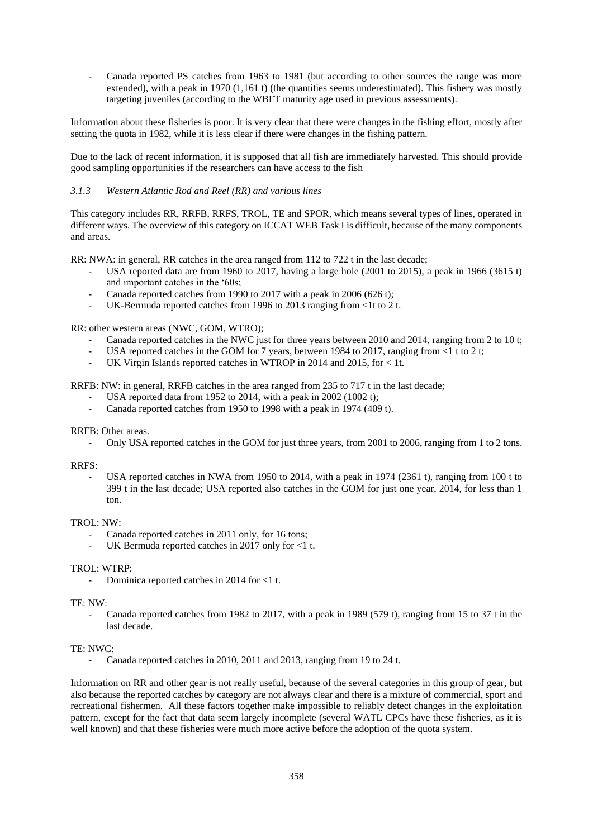Canada reported PS catches from 1963 to 1981 (but according to other sources the range was more extended), with a peak in 1970 (1,161 t) (the quantities seems underestimated). This fishery was mostly targeting juveniles (according to the WBFT maturity age used in previous assessments).

Information about these fisheries is poor. It is very clear that there were changes in the fishing effort, mostly after setting the quota in 1982, while it is less clear if there were changes in the fishing pattern.

Due to the lack of recent information, it is supposed that all fish are immediately harvested. This should provide good sampling opportunities if the researchers can have access to the fish

### *3.1.3 Western Atlantic Rod and Reel (RR) and various lines*

This category includes RR, RRFB, RRFS, TROL, TE and SPOR, which means several types of lines, operated in different ways. The overview of this category on ICCAT WEB Task I is difficult, because of the many components and areas.

RR: NWA: in general, RR catches in the area ranged from 112 to 722 t in the last decade;

- USA reported data are from 1960 to 2017, having a large hole  $(2001$  to  $2015)$ , a peak in 1966  $(3615 t)$ and important catches in the '60s;
- Canada reported catches from 1990 to 2017 with a peak in 2006 (626 t);
- UK-Bermuda reported catches from 1996 to 2013 ranging from <1t to 2 t.

RR: other western areas (NWC, GOM, WTRO);

- Canada reported catches in the NWC just for three years between 2010 and 2014, ranging from 2 to 10 t;
- USA reported catches in the GOM for 7 years, between 1984 to 2017, ranging from  $\leq 1$  t to 2 t;
- UK Virgin Islands reported catches in WTROP in 2014 and 2015, for < 1t.

RRFB: NW: in general, RRFB catches in the area ranged from 235 to 717 t in the last decade;

- USA reported data from 1952 to 2014, with a peak in 2002 (1002 t);
- Canada reported catches from 1950 to 1998 with a peak in 1974 (409 t).

RRFB: Other areas.

- Only USA reported catches in the GOM for just three years, from 2001 to 2006, ranging from 1 to 2 tons.

#### RRFS:

USA reported catches in NWA from 1950 to 2014, with a peak in 1974 (2361 t), ranging from 100 t to 399 t in the last decade; USA reported also catches in the GOM for just one year, 2014, for less than 1 ton.

### TROL: NW:

- Canada reported catches in 2011 only, for 16 tons;
- UK Bermuda reported catches in 2017 only for <1 t.

#### TROL: WTRP:

Dominica reported catches in 2014 for <1 t.

#### TE: NW:

Canada reported catches from 1982 to 2017, with a peak in 1989 (579 t), ranging from 15 to 37 t in the last decade.

#### TE: NWC:

Canada reported catches in 2010, 2011 and 2013, ranging from 19 to 24 t.

Information on RR and other gear is not really useful, because of the several categories in this group of gear, but also because the reported catches by category are not always clear and there is a mixture of commercial, sport and recreational fishermen. All these factors together make impossible to reliably detect changes in the exploitation pattern, except for the fact that data seem largely incomplete (several WATL CPCs have these fisheries, as it is well known) and that these fisheries were much more active before the adoption of the quota system.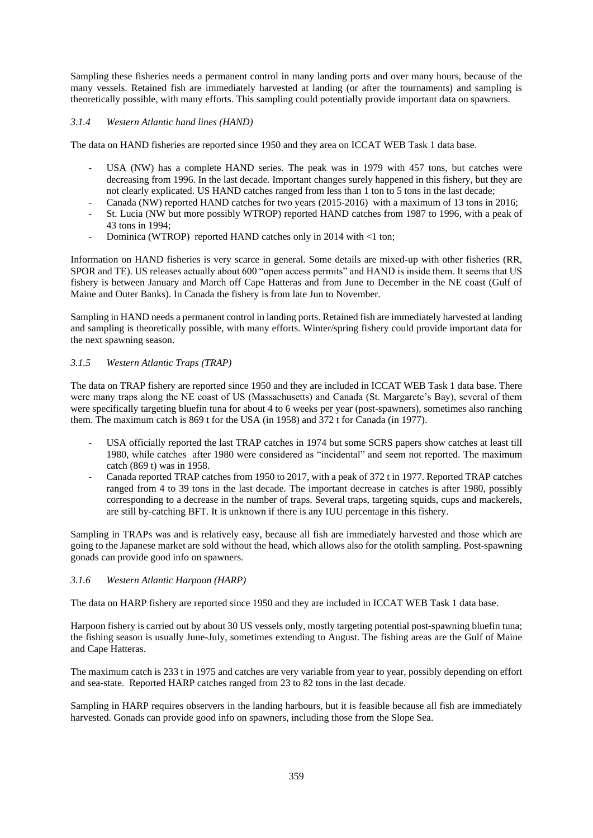Sampling these fisheries needs a permanent control in many landing ports and over many hours, because of the many vessels. Retained fish are immediately harvested at landing (or after the tournaments) and sampling is theoretically possible, with many efforts. This sampling could potentially provide important data on spawners.

## *3.1.4 Western Atlantic hand lines (HAND)*

The data on HAND fisheries are reported since 1950 and they area on ICCAT WEB Task 1 data base.

- USA (NW) has a complete HAND series. The peak was in 1979 with 457 tons, but catches were decreasing from 1996. In the last decade. Important changes surely happened in this fishery, but they are not clearly explicated. US HAND catches ranged from less than 1 ton to 5 tons in the last decade;
- Canada (NW) reported HAND catches for two years (2015-2016) with a maximum of 13 tons in 2016;
- St. Lucia (NW but more possibly WTROP) reported HAND catches from 1987 to 1996, with a peak of 43 tons in 1994;
- Dominica (WTROP) reported HAND catches only in 2014 with <1 ton;

Information on HAND fisheries is very scarce in general. Some details are mixed-up with other fisheries (RR, SPOR and TE). US releases actually about 600 "open access permits" and HAND is inside them. It seems that US fishery is between January and March off Cape Hatteras and from June to December in the NE coast (Gulf of Maine and Outer Banks). In Canada the fishery is from late Jun to November.

Sampling in HAND needs a permanent control in landing ports. Retained fish are immediately harvested at landing and sampling is theoretically possible, with many efforts. Winter/spring fishery could provide important data for the next spawning season.

## *3.1.5 Western Atlantic Traps (TRAP)*

The data on TRAP fishery are reported since 1950 and they are included in ICCAT WEB Task 1 data base. There were many traps along the NE coast of US (Massachusetts) and Canada (St. Margarete's Bay), several of them were specifically targeting bluefin tuna for about 4 to 6 weeks per year (post-spawners), sometimes also ranching them. The maximum catch is 869 t for the USA (in 1958) and 372 t for Canada (in 1977).

- USA officially reported the last TRAP catches in 1974 but some SCRS papers show catches at least till 1980, while catches after 1980 were considered as "incidental" and seem not reported. The maximum catch (869 t) was in 1958.
- Canada reported TRAP catches from 1950 to 2017, with a peak of 372 t in 1977. Reported TRAP catches ranged from 4 to 39 tons in the last decade. The important decrease in catches is after 1980, possibly corresponding to a decrease in the number of traps. Several traps, targeting squids, cups and mackerels, are still by-catching BFT. It is unknown if there is any IUU percentage in this fishery.

Sampling in TRAPs was and is relatively easy, because all fish are immediately harvested and those which are going to the Japanese market are sold without the head, which allows also for the otolith sampling. Post-spawning gonads can provide good info on spawners.

### *3.1.6 Western Atlantic Harpoon (HARP)*

The data on HARP fishery are reported since 1950 and they are included in ICCAT WEB Task 1 data base.

Harpoon fishery is carried out by about 30 US vessels only, mostly targeting potential post-spawning bluefin tuna; the fishing season is usually June-July, sometimes extending to August. The fishing areas are the Gulf of Maine and Cape Hatteras.

The maximum catch is 233 t in 1975 and catches are very variable from year to year, possibly depending on effort and sea-state. Reported HARP catches ranged from 23 to 82 tons in the last decade.

Sampling in HARP requires observers in the landing harbours, but it is feasible because all fish are immediately harvested. Gonads can provide good info on spawners, including those from the Slope Sea.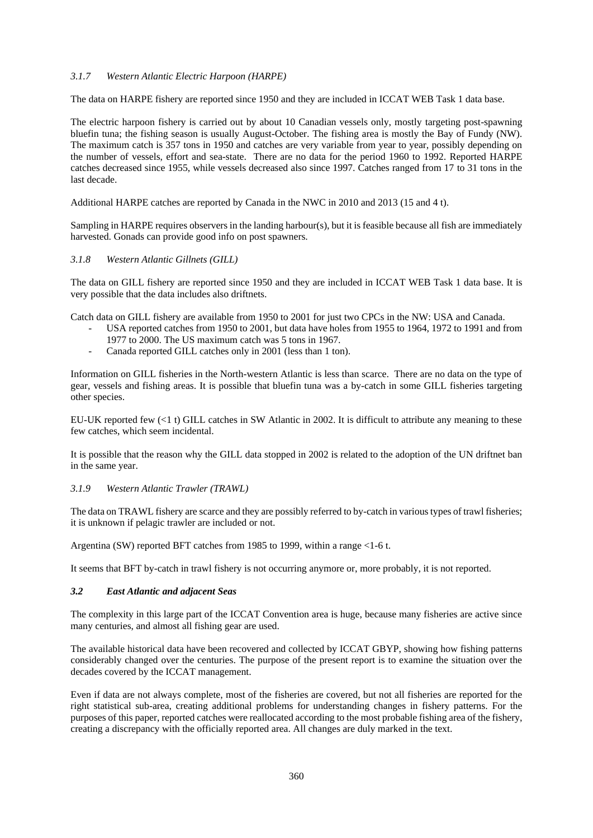### *3.1.7 Western Atlantic Electric Harpoon (HARPE)*

The data on HARPE fishery are reported since 1950 and they are included in ICCAT WEB Task 1 data base.

The electric harpoon fishery is carried out by about 10 Canadian vessels only, mostly targeting post-spawning bluefin tuna; the fishing season is usually August-October. The fishing area is mostly the Bay of Fundy (NW). The maximum catch is 357 tons in 1950 and catches are very variable from year to year, possibly depending on the number of vessels, effort and sea-state. There are no data for the period 1960 to 1992. Reported HARPE catches decreased since 1955, while vessels decreased also since 1997. Catches ranged from 17 to 31 tons in the last decade.

Additional HARPE catches are reported by Canada in the NWC in 2010 and 2013 (15 and 4 t).

Sampling in HARPE requires observers in the landing harbour(s), but it is feasible because all fish are immediately harvested. Gonads can provide good info on post spawners.

### *3.1.8 Western Atlantic Gillnets (GILL)*

The data on GILL fishery are reported since 1950 and they are included in ICCAT WEB Task 1 data base. It is very possible that the data includes also driftnets.

Catch data on GILL fishery are available from 1950 to 2001 for just two CPCs in the NW: USA and Canada.

- USA reported catches from 1950 to 2001, but data have holes from 1955 to 1964, 1972 to 1991 and from 1977 to 2000. The US maximum catch was 5 tons in 1967.
- Canada reported GILL catches only in 2001 (less than 1 ton).

Information on GILL fisheries in the North-western Atlantic is less than scarce. There are no data on the type of gear, vessels and fishing areas. It is possible that bluefin tuna was a by-catch in some GILL fisheries targeting other species.

EU-UK reported few (<1 t) GILL catches in SW Atlantic in 2002. It is difficult to attribute any meaning to these few catches, which seem incidental.

It is possible that the reason why the GILL data stopped in 2002 is related to the adoption of the UN driftnet ban in the same year.

### *3.1.9 Western Atlantic Trawler (TRAWL)*

The data on TRAWL fishery are scarce and they are possibly referred to by-catch in various types of trawl fisheries; it is unknown if pelagic trawler are included or not.

Argentina (SW) reported BFT catches from 1985 to 1999, within a range <1-6 t.

It seems that BFT by-catch in trawl fishery is not occurring anymore or, more probably, it is not reported.

#### *3.2 East Atlantic and adjacent Seas*

The complexity in this large part of the ICCAT Convention area is huge, because many fisheries are active since many centuries, and almost all fishing gear are used.

The available historical data have been recovered and collected by ICCAT GBYP, showing how fishing patterns considerably changed over the centuries. The purpose of the present report is to examine the situation over the decades covered by the ICCAT management.

Even if data are not always complete, most of the fisheries are covered, but not all fisheries are reported for the right statistical sub-area, creating additional problems for understanding changes in fishery patterns. For the purposes of this paper, reported catches were reallocated according to the most probable fishing area of the fishery, creating a discrepancy with the officially reported area. All changes are duly marked in the text.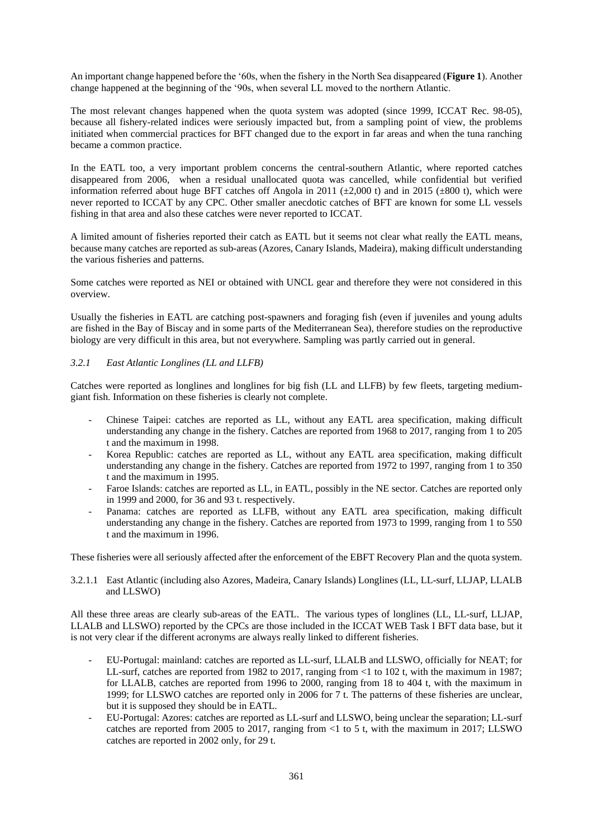An important change happened before the '60s, when the fishery in the North Sea disappeared (**Figure 1**). Another change happened at the beginning of the '90s, when several LL moved to the northern Atlantic.

The most relevant changes happened when the quota system was adopted (since 1999, ICCAT Rec. 98-05), because all fishery-related indices were seriously impacted but, from a sampling point of view, the problems initiated when commercial practices for BFT changed due to the export in far areas and when the tuna ranching became a common practice.

In the EATL too, a very important problem concerns the central-southern Atlantic, where reported catches disappeared from 2006, when a residual unallocated quota was cancelled, while confidential but verified information referred about huge BFT catches off Angola in 2011 ( $\pm$ 2,000 t) and in 2015 ( $\pm$ 800 t), which were never reported to ICCAT by any CPC. Other smaller anecdotic catches of BFT are known for some LL vessels fishing in that area and also these catches were never reported to ICCAT.

A limited amount of fisheries reported their catch as EATL but it seems not clear what really the EATL means, because many catches are reported as sub-areas (Azores, Canary Islands, Madeira), making difficult understanding the various fisheries and patterns.

Some catches were reported as NEI or obtained with UNCL gear and therefore they were not considered in this overview.

Usually the fisheries in EATL are catching post-spawners and foraging fish (even if juveniles and young adults are fished in the Bay of Biscay and in some parts of the Mediterranean Sea), therefore studies on the reproductive biology are very difficult in this area, but not everywhere. Sampling was partly carried out in general.

## *3.2.1 East Atlantic Longlines (LL and LLFB)*

Catches were reported as longlines and longlines for big fish (LL and LLFB) by few fleets, targeting mediumgiant fish. Information on these fisheries is clearly not complete.

- Chinese Taipei: catches are reported as LL, without any EATL area specification, making difficult understanding any change in the fishery. Catches are reported from 1968 to 2017, ranging from 1 to 205 t and the maximum in 1998.
- Korea Republic: catches are reported as LL, without any EATL area specification, making difficult understanding any change in the fishery. Catches are reported from 1972 to 1997, ranging from 1 to 350 t and the maximum in 1995.
- Faroe Islands: catches are reported as LL, in EATL, possibly in the NE sector. Catches are reported only in 1999 and 2000, for 36 and 93 t. respectively.
- Panama: catches are reported as LLFB, without any EATL area specification, making difficult understanding any change in the fishery. Catches are reported from 1973 to 1999, ranging from 1 to 550 t and the maximum in 1996.

These fisheries were all seriously affected after the enforcement of the EBFT Recovery Plan and the quota system.

3.2.1.1 East Atlantic (including also Azores, Madeira, Canary Islands) Longlines (LL, LL-surf, LLJAP, LLALB and LLSWO)

All these three areas are clearly sub-areas of the EATL. The various types of longlines (LL, LL-surf, LLJAP, LLALB and LLSWO) reported by the CPCs are those included in the ICCAT WEB Task I BFT data base, but it is not very clear if the different acronyms are always really linked to different fisheries.

- EU-Portugal: mainland: catches are reported as LL-surf, LLALB and LLSWO, officially for NEAT; for LL-surf, catches are reported from 1982 to 2017, ranging from <1 to 102 t, with the maximum in 1987; for LLALB, catches are reported from 1996 to 2000, ranging from 18 to 404 t, with the maximum in 1999; for LLSWO catches are reported only in 2006 for 7 t. The patterns of these fisheries are unclear, but it is supposed they should be in EATL.
- EU-Portugal: Azores: catches are reported as LL-surf and LLSWO, being unclear the separation; LL-surf catches are reported from 2005 to 2017, ranging from <1 to 5 t, with the maximum in 2017; LLSWO catches are reported in 2002 only, for 29 t.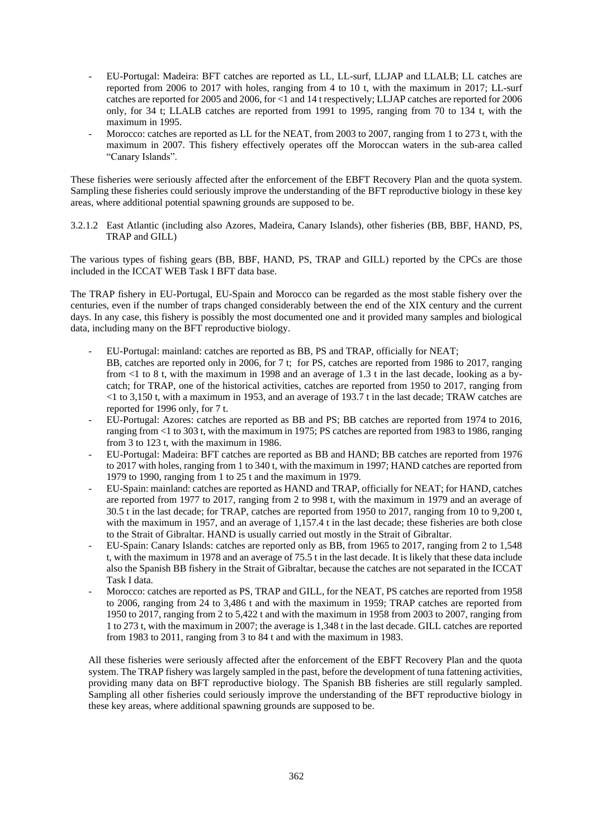- EU-Portugal: Madeira: BFT catches are reported as LL, LL-surf, LLJAP and LLALB; LL catches are reported from 2006 to 2017 with holes, ranging from 4 to 10 t, with the maximum in 2017; LL-surf catches are reported for 2005 and 2006, for <1 and 14 t respectively; LLJAP catches are reported for 2006 only, for 34 t; LLALB catches are reported from 1991 to 1995, ranging from 70 to 134 t, with the maximum in 1995.
- Morocco: catches are reported as LL for the NEAT, from 2003 to 2007, ranging from 1 to 273 t, with the maximum in 2007. This fishery effectively operates off the Moroccan waters in the sub-area called "Canary Islands".

These fisheries were seriously affected after the enforcement of the EBFT Recovery Plan and the quota system. Sampling these fisheries could seriously improve the understanding of the BFT reproductive biology in these key areas, where additional potential spawning grounds are supposed to be.

3.2.1.2 East Atlantic (including also Azores, Madeira, Canary Islands), other fisheries (BB, BBF, HAND, PS, TRAP and GILL)

The various types of fishing gears (BB, BBF, HAND, PS, TRAP and GILL) reported by the CPCs are those included in the ICCAT WEB Task I BFT data base.

The TRAP fishery in EU-Portugal, EU-Spain and Morocco can be regarded as the most stable fishery over the centuries, even if the number of traps changed considerably between the end of the XIX century and the current days. In any case, this fishery is possibly the most documented one and it provided many samples and biological data, including many on the BFT reproductive biology.

- EU-Portugal: mainland: catches are reported as BB, PS and TRAP, officially for NEAT; BB, catches are reported only in 2006, for 7 t; for PS, catches are reported from 1986 to 2017, ranging from <1 to 8 t, with the maximum in 1998 and an average of 1.3 t in the last decade, looking as a bycatch; for TRAP, one of the historical activities, catches are reported from 1950 to 2017, ranging from <1 to 3,150 t, with a maximum in 1953, and an average of 193.7 t in the last decade; TRAW catches are reported for 1996 only, for 7 t.
- EU-Portugal: Azores: catches are reported as BB and PS; BB catches are reported from 1974 to 2016, ranging from <1 to 303 t, with the maximum in 1975; PS catches are reported from 1983 to 1986, ranging from 3 to 123 t, with the maximum in 1986.
- EU-Portugal: Madeira: BFT catches are reported as BB and HAND; BB catches are reported from 1976 to 2017 with holes, ranging from 1 to 340 t, with the maximum in 1997; HAND catches are reported from 1979 to 1990, ranging from 1 to 25 t and the maximum in 1979.
- EU-Spain: mainland: catches are reported as HAND and TRAP, officially for NEAT; for HAND, catches are reported from 1977 to 2017, ranging from 2 to 998 t, with the maximum in 1979 and an average of 30.5 t in the last decade; for TRAP, catches are reported from 1950 to 2017, ranging from 10 to 9,200 t, with the maximum in 1957, and an average of 1,157.4 t in the last decade; these fisheries are both close to the Strait of Gibraltar. HAND is usually carried out mostly in the Strait of Gibraltar.
- EU-Spain: Canary Islands: catches are reported only as BB, from 1965 to 2017, ranging from 2 to 1,548 t, with the maximum in 1978 and an average of 75.5 t in the last decade. It is likely that these data include also the Spanish BB fishery in the Strait of Gibraltar, because the catches are not separated in the ICCAT Task I data.
- Morocco: catches are reported as PS, TRAP and GILL, for the NEAT, PS catches are reported from 1958 to 2006, ranging from 24 to 3,486 t and with the maximum in 1959; TRAP catches are reported from 1950 to 2017, ranging from 2 to 5,422 t and with the maximum in 1958 from 2003 to 2007, ranging from 1 to 273 t, with the maximum in 2007; the average is 1,348 t in the last decade. GILL catches are reported from 1983 to 2011, ranging from 3 to 84 t and with the maximum in 1983.

All these fisheries were seriously affected after the enforcement of the EBFT Recovery Plan and the quota system. The TRAP fishery was largely sampled in the past, before the development of tuna fattening activities, providing many data on BFT reproductive biology. The Spanish BB fisheries are still regularly sampled. Sampling all other fisheries could seriously improve the understanding of the BFT reproductive biology in these key areas, where additional spawning grounds are supposed to be.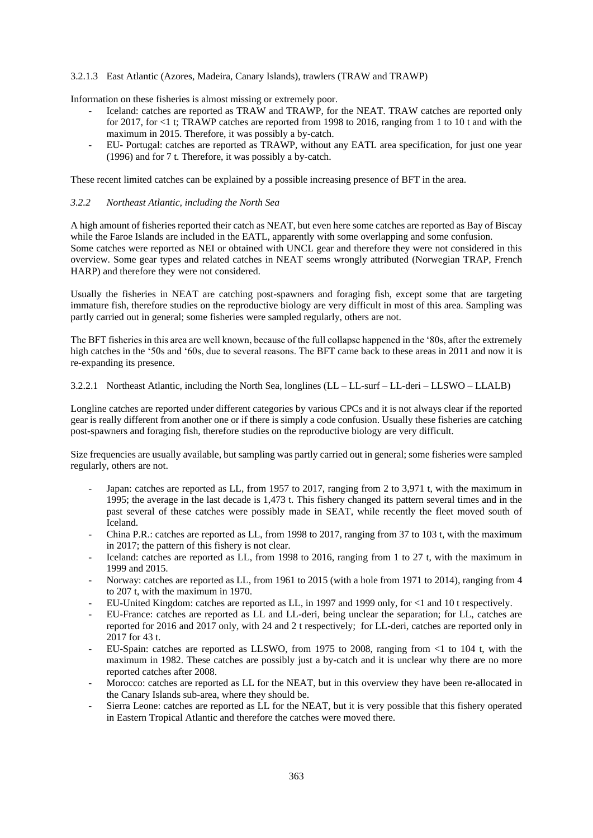### 3.2.1.3 East Atlantic (Azores, Madeira, Canary Islands), trawlers (TRAW and TRAWP)

Information on these fisheries is almost missing or extremely poor.

- Iceland: catches are reported as TRAW and TRAWP, for the NEAT. TRAW catches are reported only for 2017, for <1 t; TRAWP catches are reported from 1998 to 2016, ranging from 1 to 10 t and with the maximum in 2015. Therefore, it was possibly a by-catch.
- EU- Portugal: catches are reported as TRAWP, without any EATL area specification, for just one year (1996) and for 7 t. Therefore, it was possibly a by-catch.

These recent limited catches can be explained by a possible increasing presence of BFT in the area.

#### *3.2.2 Northeast Atlantic, including the North Sea*

A high amount of fisheries reported their catch as NEAT, but even here some catches are reported as Bay of Biscay while the Faroe Islands are included in the EATL, apparently with some overlapping and some confusion. Some catches were reported as NEI or obtained with UNCL gear and therefore they were not considered in this overview. Some gear types and related catches in NEAT seems wrongly attributed (Norwegian TRAP, French HARP) and therefore they were not considered.

Usually the fisheries in NEAT are catching post-spawners and foraging fish, except some that are targeting immature fish, therefore studies on the reproductive biology are very difficult in most of this area. Sampling was partly carried out in general; some fisheries were sampled regularly, others are not.

The BFT fisheries in this area are well known, because of the full collapse happened in the '80s, after the extremely high catches in the '50s and '60s, due to several reasons. The BFT came back to these areas in 2011 and now it is re-expanding its presence.

3.2.2.1 Northeast Atlantic, including the North Sea, longlines (LL – LL-surf – LL-deri – LLSWO – LLALB)

Longline catches are reported under different categories by various CPCs and it is not always clear if the reported gear is really different from another one or if there is simply a code confusion. Usually these fisheries are catching post-spawners and foraging fish, therefore studies on the reproductive biology are very difficult.

Size frequencies are usually available, but sampling was partly carried out in general; some fisheries were sampled regularly, others are not.

- Japan: catches are reported as LL, from 1957 to 2017, ranging from 2 to 3,971 t, with the maximum in 1995; the average in the last decade is 1,473 t. This fishery changed its pattern several times and in the past several of these catches were possibly made in SEAT, while recently the fleet moved south of Iceland.
- China P.R.: catches are reported as LL, from 1998 to 2017, ranging from 37 to 103 t, with the maximum in 2017; the pattern of this fishery is not clear.
- Iceland: catches are reported as LL, from 1998 to 2016, ranging from 1 to 27 t, with the maximum in 1999 and 2015.
- Norway: catches are reported as LL, from 1961 to 2015 (with a hole from 1971 to 2014), ranging from 4 to 207 t, with the maximum in 1970.
- EU-United Kingdom: catches are reported as LL, in 1997 and 1999 only, for <1 and 10 t respectively.
- EU-France: catches are reported as LL and LL-deri, being unclear the separation; for LL, catches are reported for 2016 and 2017 only, with 24 and 2 t respectively; for LL-deri, catches are reported only in 2017 for 43 t.
- EU-Spain: catches are reported as LLSWO, from 1975 to 2008, ranging from <1 to 104 t, with the maximum in 1982. These catches are possibly just a by-catch and it is unclear why there are no more reported catches after 2008.
- Morocco: catches are reported as LL for the NEAT, but in this overview they have been re-allocated in the Canary Islands sub-area, where they should be.
- Sierra Leone: catches are reported as LL for the NEAT, but it is very possible that this fishery operated in Eastern Tropical Atlantic and therefore the catches were moved there.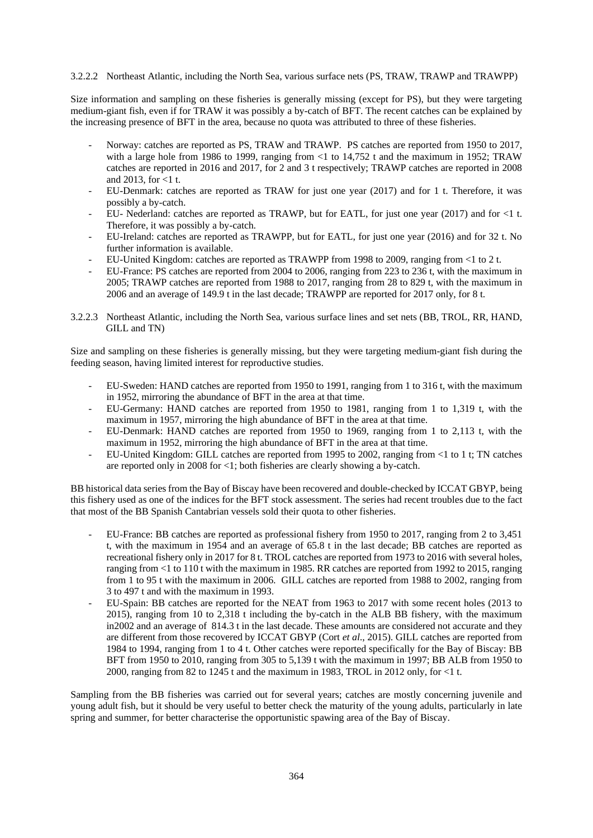### 3.2.2.2 Northeast Atlantic, including the North Sea, various surface nets (PS, TRAW, TRAWP and TRAWPP)

Size information and sampling on these fisheries is generally missing (except for PS), but they were targeting medium-giant fish, even if for TRAW it was possibly a by-catch of BFT. The recent catches can be explained by the increasing presence of BFT in the area, because no quota was attributed to three of these fisheries.

- Norway: catches are reported as PS, TRAW and TRAWP. PS catches are reported from 1950 to 2017, with a large hole from 1986 to 1999, ranging from  $\langle$ 1 to 14,752 t and the maximum in 1952; TRAW catches are reported in 2016 and 2017, for 2 and 3 t respectively; TRAWP catches are reported in 2008 and 2013, for  $<1$  t.
- EU-Denmark: catches are reported as TRAW for just one year (2017) and for 1 t. Therefore, it was possibly a by-catch.
- EU- Nederland: catches are reported as TRAWP, but for EATL, for just one year (2017) and for <1 t. Therefore, it was possibly a by-catch.
- EU-Ireland: catches are reported as TRAWPP, but for EATL, for just one year (2016) and for 32 t. No further information is available.
- EU-United Kingdom: catches are reported as TRAWPP from 1998 to 2009, ranging from <1 to 2 t.
- EU-France: PS catches are reported from 2004 to 2006, ranging from 223 to 236 t, with the maximum in 2005; TRAWP catches are reported from 1988 to 2017, ranging from 28 to 829 t, with the maximum in 2006 and an average of 149.9 t in the last decade; TRAWPP are reported for 2017 only, for 8 t.
- 3.2.2.3 Northeast Atlantic, including the North Sea, various surface lines and set nets (BB, TROL, RR, HAND, GILL and TN)

Size and sampling on these fisheries is generally missing, but they were targeting medium-giant fish during the feeding season, having limited interest for reproductive studies.

- EU-Sweden: HAND catches are reported from 1950 to 1991, ranging from 1 to 316 t, with the maximum in 1952, mirroring the abundance of BFT in the area at that time.
- EU-Germany: HAND catches are reported from 1950 to 1981, ranging from 1 to 1,319 t, with the maximum in 1957, mirroring the high abundance of BFT in the area at that time.
- EU-Denmark: HAND catches are reported from 1950 to 1969, ranging from 1 to 2,113 t, with the maximum in 1952, mirroring the high abundance of BFT in the area at that time.
- EU-United Kingdom: GILL catches are reported from 1995 to 2002, ranging from <1 to 1 t; TN catches are reported only in 2008 for <1; both fisheries are clearly showing a by-catch.

BB historical data series from the Bay of Biscay have been recovered and double-checked by ICCAT GBYP, being this fishery used as one of the indices for the BFT stock assessment. The series had recent troubles due to the fact that most of the BB Spanish Cantabrian vessels sold their quota to other fisheries.

- EU-France: BB catches are reported as professional fishery from 1950 to 2017, ranging from 2 to 3,451 t, with the maximum in 1954 and an average of 65.8 t in the last decade; BB catches are reported as recreational fishery only in 2017 for 8 t. TROL catches are reported from 1973 to 2016 with several holes, ranging from <1 to 110 t with the maximum in 1985. RR catches are reported from 1992 to 2015, ranging from 1 to 95 t with the maximum in 2006. GILL catches are reported from 1988 to 2002, ranging from 3 to 497 t and with the maximum in 1993.
- EU-Spain: BB catches are reported for the NEAT from 1963 to 2017 with some recent holes (2013 to 2015), ranging from 10 to 2,318 t including the by-catch in the ALB BB fishery, with the maximum in2002 and an average of 814.3 t in the last decade. These amounts are considered not accurate and they are different from those recovered by ICCAT GBYP (Cort *et al*., 2015). GILL catches are reported from 1984 to 1994, ranging from 1 to 4 t. Other catches were reported specifically for the Bay of Biscay: BB BFT from 1950 to 2010, ranging from 305 to 5,139 t with the maximum in 1997; BB ALB from 1950 to 2000, ranging from 82 to 1245 t and the maximum in 1983, TROL in 2012 only, for <1 t.

Sampling from the BB fisheries was carried out for several years; catches are mostly concerning juvenile and young adult fish, but it should be very useful to better check the maturity of the young adults, particularly in late spring and summer, for better characterise the opportunistic spawing area of the Bay of Biscay.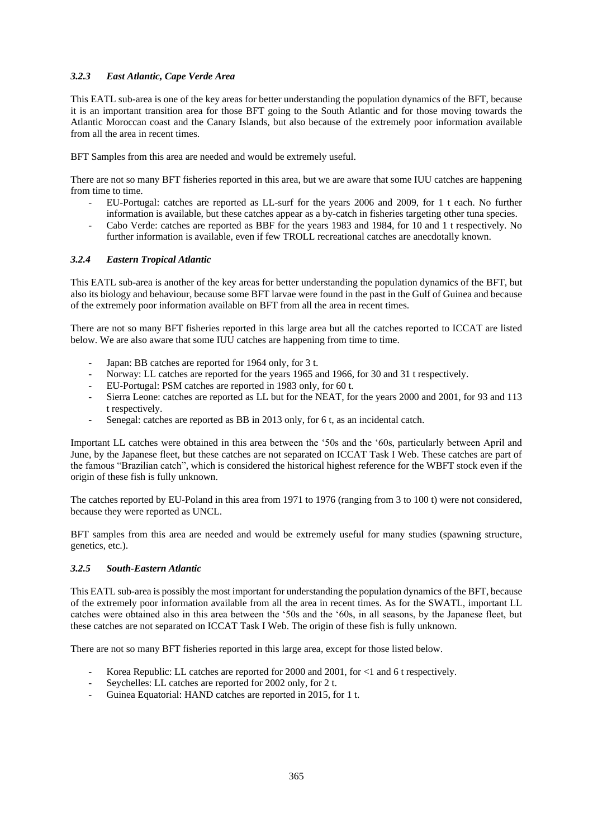## *3.2.3 East Atlantic, Cape Verde Area*

This EATL sub-area is one of the key areas for better understanding the population dynamics of the BFT, because it is an important transition area for those BFT going to the South Atlantic and for those moving towards the Atlantic Moroccan coast and the Canary Islands, but also because of the extremely poor information available from all the area in recent times.

BFT Samples from this area are needed and would be extremely useful.

There are not so many BFT fisheries reported in this area, but we are aware that some IUU catches are happening from time to time.

- EU-Portugal: catches are reported as LL-surf for the years 2006 and 2009, for 1 t each. No further information is available, but these catches appear as a by-catch in fisheries targeting other tuna species.
- Cabo Verde: catches are reported as BBF for the years 1983 and 1984, for 10 and 1 t respectively. No further information is available, even if few TROLL recreational catches are anecdotally known.

### *3.2.4 Eastern Tropical Atlantic*

This EATL sub-area is another of the key areas for better understanding the population dynamics of the BFT, but also its biology and behaviour, because some BFT larvae were found in the past in the Gulf of Guinea and because of the extremely poor information available on BFT from all the area in recent times.

There are not so many BFT fisheries reported in this large area but all the catches reported to ICCAT are listed below. We are also aware that some IUU catches are happening from time to time.

- Japan: BB catches are reported for 1964 only, for 3 t.
- Norway: LL catches are reported for the years 1965 and 1966, for 30 and 31 t respectively.
- EU-Portugal: PSM catches are reported in 1983 only, for 60 t.
- Sierra Leone: catches are reported as LL but for the NEAT, for the years 2000 and 2001, for 93 and 113 t respectively.
- Senegal: catches are reported as BB in 2013 only, for 6 t, as an incidental catch.

Important LL catches were obtained in this area between the '50s and the '60s, particularly between April and June, by the Japanese fleet, but these catches are not separated on ICCAT Task I Web. These catches are part of the famous "Brazilian catch", which is considered the historical highest reference for the WBFT stock even if the origin of these fish is fully unknown.

The catches reported by EU-Poland in this area from 1971 to 1976 (ranging from 3 to 100 t) were not considered, because they were reported as UNCL.

BFT samples from this area are needed and would be extremely useful for many studies (spawning structure, genetics, etc.).

### *3.2.5 South-Eastern Atlantic*

This EATL sub-area is possibly the most important for understanding the population dynamics of the BFT, because of the extremely poor information available from all the area in recent times. As for the SWATL, important LL catches were obtained also in this area between the '50s and the '60s, in all seasons, by the Japanese fleet, but these catches are not separated on ICCAT Task I Web. The origin of these fish is fully unknown.

There are not so many BFT fisheries reported in this large area, except for those listed below.

- Korea Republic: LL catches are reported for 2000 and 2001, for  $\lt 1$  and 6 t respectively.
- Seychelles: LL catches are reported for 2002 only, for 2 t.
- Guinea Equatorial: HAND catches are reported in 2015, for 1 t.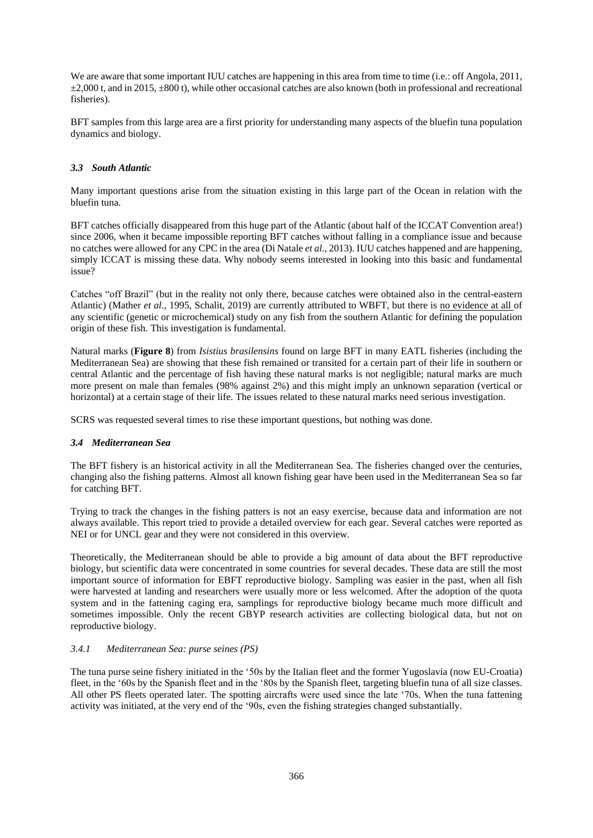We are aware that some important IUU catches are happening in this area from time to time (i.e.: off Angola, 2011,  $\pm 2,000$  t, and in 2015,  $\pm 800$  t), while other occasional catches are also known (both in professional and recreational fisheries).

BFT samples from this large area are a first priority for understanding many aspects of the bluefin tuna population dynamics and biology.

## *3.3 South Atlantic*

Many important questions arise from the situation existing in this large part of the Ocean in relation with the bluefin tuna.

BFT catches officially disappeared from this huge part of the Atlantic (about half of the ICCAT Convention area!) since 2006, when it became impossible reporting BFT catches without falling in a compliance issue and because no catches were allowed for any CPC in the area (Di Natale *et al*., 2013). IUU catches happened and are happening, simply ICCAT is missing these data. Why nobody seems interested in looking into this basic and fundamental issue?

Catches "off Brazil" (but in the reality not only there, because catches were obtained also in the central-eastern Atlantic) (Mather *et al*., 1995, Schalit, 2019) are currently attributed to WBFT, but there is no evidence at all of any scientific (genetic or microchemical) study on any fish from the southern Atlantic for defining the population origin of these fish. This investigation is fundamental.

Natural marks (**Figure 8**) from *Isistius brasilensins* found on large BFT in many EATL fisheries (including the Mediterranean Sea) are showing that these fish remained or transited for a certain part of their life in southern or central Atlantic and the percentage of fish having these natural marks is not negligible; natural marks are much more present on male than females (98% against 2%) and this might imply an unknown separation (vertical or horizontal) at a certain stage of their life. The issues related to these natural marks need serious investigation.

SCRS was requested several times to rise these important questions, but nothing was done.

### *3.4 Mediterranean Sea*

The BFT fishery is an historical activity in all the Mediterranean Sea. The fisheries changed over the centuries, changing also the fishing patterns. Almost all known fishing gear have been used in the Mediterranean Sea so far for catching BFT.

Trying to track the changes in the fishing patters is not an easy exercise, because data and information are not always available. This report tried to provide a detailed overview for each gear. Several catches were reported as NEI or for UNCL gear and they were not considered in this overview.

Theoretically, the Mediterranean should be able to provide a big amount of data about the BFT reproductive biology, but scientific data were concentrated in some countries for several decades. These data are still the most important source of information for EBFT reproductive biology. Sampling was easier in the past, when all fish were harvested at landing and researchers were usually more or less welcomed. After the adoption of the quota system and in the fattening caging era, samplings for reproductive biology became much more difficult and sometimes impossible. Only the recent GBYP research activities are collecting biological data, but not on reproductive biology.

## *3.4.1 Mediterranean Sea: purse seines (PS)*

The tuna purse seine fishery initiated in the '50s by the Italian fleet and the former Yugoslavia (now EU-Croatia) fleet, in the '60s by the Spanish fleet and in the '80s by the Spanish fleet, targeting bluefin tuna of all size classes. All other PS fleets operated later. The spotting aircrafts were used since the late '70s. When the tuna fattening activity was initiated, at the very end of the '90s, even the fishing strategies changed substantially.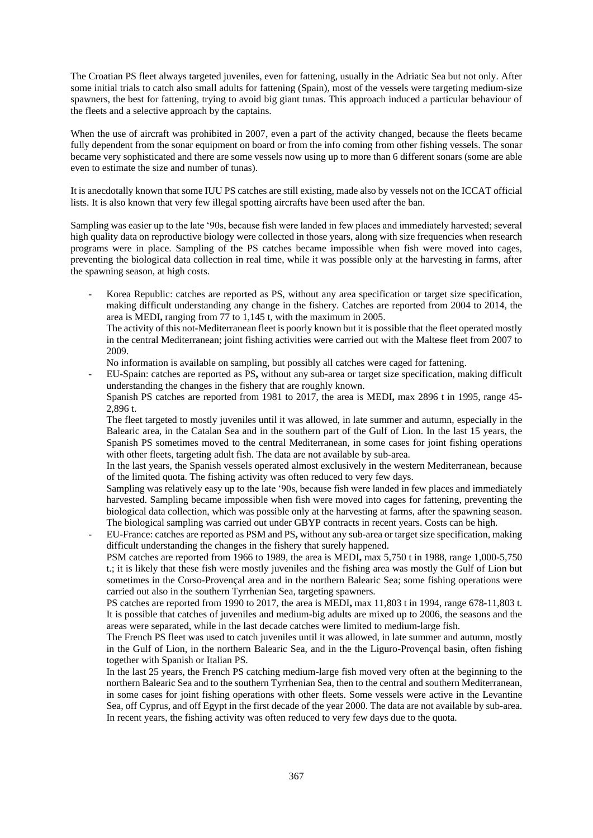The Croatian PS fleet always targeted juveniles, even for fattening, usually in the Adriatic Sea but not only. After some initial trials to catch also small adults for fattening (Spain), most of the vessels were targeting medium-size spawners, the best for fattening, trying to avoid big giant tunas. This approach induced a particular behaviour of the fleets and a selective approach by the captains.

When the use of aircraft was prohibited in 2007, even a part of the activity changed, because the fleets became fully dependent from the sonar equipment on board or from the info coming from other fishing vessels. The sonar became very sophisticated and there are some vessels now using up to more than 6 different sonars (some are able even to estimate the size and number of tunas).

It is anecdotally known that some IUU PS catches are still existing, made also by vessels not on the ICCAT official lists. It is also known that very few illegal spotting aircrafts have been used after the ban.

Sampling was easier up to the late '90s, because fish were landed in few places and immediately harvested; several high quality data on reproductive biology were collected in those years, along with size frequencies when research programs were in place. Sampling of the PS catches became impossible when fish were moved into cages, preventing the biological data collection in real time, while it was possible only at the harvesting in farms, after the spawning season, at high costs.

Korea Republic: catches are reported as PS, without any area specification or target size specification, making difficult understanding any change in the fishery. Catches are reported from 2004 to 2014, the area is MEDI**,** ranging from 77 to 1,145 t, with the maximum in 2005.

The activity of this not-Mediterranean fleet is poorly known but it is possible that the fleet operated mostly in the central Mediterranean; joint fishing activities were carried out with the Maltese fleet from 2007 to 2009.

No information is available on sampling, but possibly all catches were caged for fattening.

- EU-Spain: catches are reported as PS**,** without any sub-area or target size specification, making difficult understanding the changes in the fishery that are roughly known.

Spanish PS catches are reported from 1981 to 2017, the area is MEDI**,** max 2896 t in 1995, range 45- 2,896 t.

The fleet targeted to mostly juveniles until it was allowed, in late summer and autumn, especially in the Balearic area, in the Catalan Sea and in the southern part of the Gulf of Lion. In the last 15 years, the Spanish PS sometimes moved to the central Mediterranean, in some cases for joint fishing operations with other fleets, targeting adult fish. The data are not available by sub-area.

In the last years, the Spanish vessels operated almost exclusively in the western Mediterranean, because of the limited quota. The fishing activity was often reduced to very few days.

Sampling was relatively easy up to the late '90s, because fish were landed in few places and immediately harvested. Sampling became impossible when fish were moved into cages for fattening, preventing the biological data collection, which was possible only at the harvesting at farms, after the spawning season. The biological sampling was carried out under GBYP contracts in recent years. Costs can be high.

- EU-France: catches are reported as PSM and PS**,** without any sub-area or target size specification, making difficult understanding the changes in the fishery that surely happened.
	- PSM catches are reported from 1966 to 1989, the area is MEDI**,** max 5,750 t in 1988, range 1,000-5,750 t.; it is likely that these fish were mostly juveniles and the fishing area was mostly the Gulf of Lion but sometimes in the Corso-Provençal area and in the northern Balearic Sea; some fishing operations were carried out also in the southern Tyrrhenian Sea, targeting spawners.

PS catches are reported from 1990 to 2017, the area is MEDI**,** max 11,803 t in 1994, range 678-11,803 t. It is possible that catches of juveniles and medium-big adults are mixed up to 2006, the seasons and the areas were separated, while in the last decade catches were limited to medium-large fish.

The French PS fleet was used to catch juveniles until it was allowed, in late summer and autumn, mostly in the Gulf of Lion, in the northern Balearic Sea, and in the the Liguro-Provençal basin, often fishing together with Spanish or Italian PS.

In the last 25 years, the French PS catching medium-large fish moved very often at the beginning to the northern Balearic Sea and to the southern Tyrrhenian Sea, then to the central and southern Mediterranean, in some cases for joint fishing operations with other fleets. Some vessels were active in the Levantine Sea, off Cyprus, and off Egypt in the first decade of the year 2000. The data are not available by sub-area. In recent years, the fishing activity was often reduced to very few days due to the quota.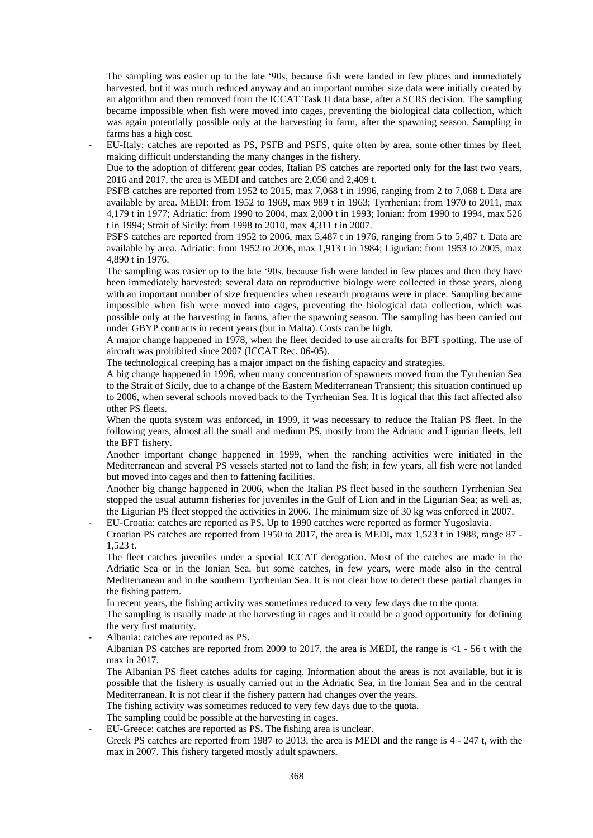The sampling was easier up to the late '90s, because fish were landed in few places and immediately harvested, but it was much reduced anyway and an important number size data were initially created by an algorithm and then removed from the ICCAT Task II data base, after a SCRS decision. The sampling became impossible when fish were moved into cages, preventing the biological data collection, which was again potentially possible only at the harvesting in farm, after the spawning season. Sampling in farms has a high cost.

- EU-Italy: catches are reported as PS, PSFB and PSFS, quite often by area, some other times by fleet, making difficult understanding the many changes in the fishery.

Due to the adoption of different gear codes, Italian PS catches are reported only for the last two years, 2016 and 2017, the area is MEDI and catches are 2,050 and 2,409 t.

PSFB catches are reported from 1952 to 2015, max 7,068 t in 1996, ranging from 2 to 7,068 t. Data are available by area. MEDI: from 1952 to 1969, max 989 t in 1963; Tyrrhenian: from 1970 to 2011, max 4,179 t in 1977; Adriatic: from 1990 to 2004, max 2,000 t in 1993; Ionian: from 1990 to 1994, max 526 t in 1994; Strait of Sicily: from 1998 to 2010, max 4,311 t in 2007.

PSFS catches are reported from 1952 to 2006, max 5,487 t in 1976, ranging from 5 to 5,487 t. Data are available by area. Adriatic: from 1952 to 2006, max 1,913 t in 1984; Ligurian: from 1953 to 2005, max 4,890 t in 1976.

The sampling was easier up to the late '90s, because fish were landed in few places and then they have been immediately harvested; several data on reproductive biology were collected in those years, along with an important number of size frequencies when research programs were in place. Sampling became impossible when fish were moved into cages, preventing the biological data collection, which was possible only at the harvesting in farms, after the spawning season. The sampling has been carried out under GBYP contracts in recent years (but in Malta). Costs can be high.

A major change happened in 1978, when the fleet decided to use aircrafts for BFT spotting. The use of aircraft was prohibited since 2007 (ICCAT Rec. 06-05).

The technological creeping has a major impact on the fishing capacity and strategies.

A big change happened in 1996, when many concentration of spawners moved from the Tyrrhenian Sea to the Strait of Sicily, due to a change of the Eastern Mediterranean Transient; this situation continued up to 2006, when several schools moved back to the Tyrrhenian Sea. It is logical that this fact affected also other PS fleets.

When the quota system was enforced, in 1999, it was necessary to reduce the Italian PS fleet. In the following years, almost all the small and medium PS, mostly from the Adriatic and Ligurian fleets, left the BFT fishery.

Another important change happened in 1999, when the ranching activities were initiated in the Mediterranean and several PS vessels started not to land the fish; in few years, all fish were not landed but moved into cages and then to fattening facilities.

Another big change happened in 2006, when the Italian PS fleet based in the southern Tyrrhenian Sea stopped the usual autumn fisheries for juveniles in the Gulf of Lion and in the Ligurian Sea; as well as, the Ligurian PS fleet stopped the activities in 2006. The minimum size of 30 kg was enforced in 2007.

- EU-Croatia: catches are reported as PS**.** Up to 1990 catches were reported as former Yugoslavia. Croatian PS catches are reported from 1950 to 2017, the area is MEDI**,** max 1,523 t in 1988, range 87 - 1,523 t.

The fleet catches juveniles under a special ICCAT derogation. Most of the catches are made in the Adriatic Sea or in the Ionian Sea, but some catches, in few years, were made also in the central Mediterranean and in the southern Tyrrhenian Sea. It is not clear how to detect these partial changes in the fishing pattern.

In recent years, the fishing activity was sometimes reduced to very few days due to the quota.

The sampling is usually made at the harvesting in cages and it could be a good opportunity for defining the very first maturity.

- Albania: catches are reported as PS**.** 

Albanian PS catches are reported from 2009 to 2017, the area is MEDI**,** the range is <1 - 56 t with the max in 2017.

The Albanian PS fleet catches adults for caging. Information about the areas is not available, but it is possible that the fishery is usually carried out in the Adriatic Sea, in the Ionian Sea and in the central Mediterranean. It is not clear if the fishery pattern had changes over the years.

The fishing activity was sometimes reduced to very few days due to the quota.

The sampling could be possible at the harvesting in cages.

- EU-Greece: catches are reported as PS**.** The fishing area is unclear.

Greek PS catches are reported from 1987 to 2013, the area is MEDI and the range is 4 - 247 t, with the max in 2007. This fishery targeted mostly adult spawners.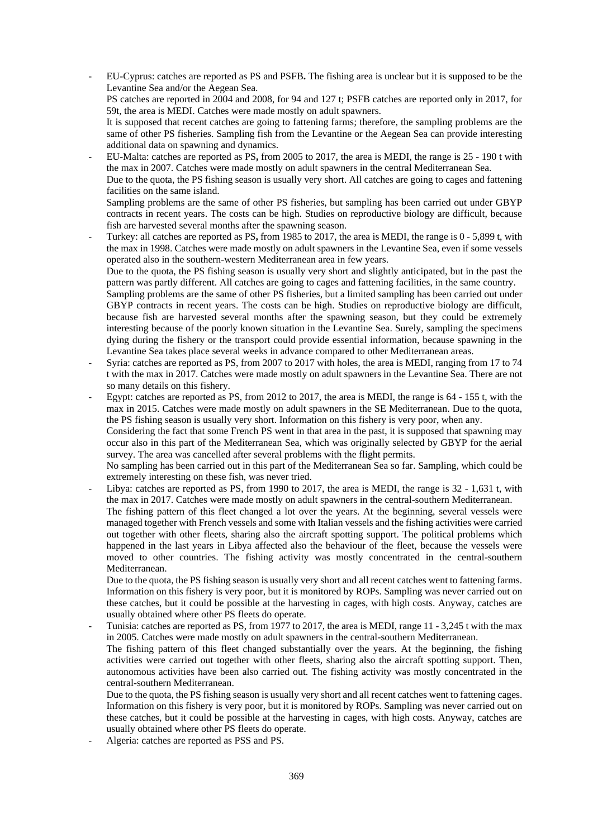- EU-Cyprus: catches are reported as PS and PSFB**.** The fishing area is unclear but it is supposed to be the Levantine Sea and/or the Aegean Sea.
	- PS catches are reported in 2004 and 2008, for 94 and 127 t; PSFB catches are reported only in 2017, for 59t, the area is MEDI. Catches were made mostly on adult spawners.
	- It is supposed that recent catches are going to fattening farms; therefore, the sampling problems are the same of other PS fisheries. Sampling fish from the Levantine or the Aegean Sea can provide interesting additional data on spawning and dynamics.
- EU-Malta: catches are reported as PS**,** from 2005 to 2017, the area is MEDI, the range is 25 190 t with the max in 2007. Catches were made mostly on adult spawners in the central Mediterranean Sea.
	- Due to the quota, the PS fishing season is usually very short. All catches are going to cages and fattening facilities on the same island.

Sampling problems are the same of other PS fisheries, but sampling has been carried out under GBYP contracts in recent years. The costs can be high. Studies on reproductive biology are difficult, because fish are harvested several months after the spawning season.

- Turkey: all catches are reported as PS**,** from 1985 to 2017, the area is MEDI, the range is 0 - 5,899 t, with the max in 1998. Catches were made mostly on adult spawners in the Levantine Sea, even if some vessels operated also in the southern-western Mediterranean area in few years.

Due to the quota, the PS fishing season is usually very short and slightly anticipated, but in the past the pattern was partly different. All catches are going to cages and fattening facilities, in the same country.

Sampling problems are the same of other PS fisheries, but a limited sampling has been carried out under GBYP contracts in recent years. The costs can be high. Studies on reproductive biology are difficult, because fish are harvested several months after the spawning season, but they could be extremely interesting because of the poorly known situation in the Levantine Sea. Surely, sampling the specimens dying during the fishery or the transport could provide essential information, because spawning in the Levantine Sea takes place several weeks in advance compared to other Mediterranean areas.

- Syria: catches are reported as PS, from 2007 to 2017 with holes, the area is MEDI, ranging from 17 to 74 t with the max in 2017. Catches were made mostly on adult spawners in the Levantine Sea. There are not so many details on this fishery.
- Egypt: catches are reported as PS, from 2012 to 2017, the area is MEDI, the range is 64 155 t, with the max in 2015. Catches were made mostly on adult spawners in the SE Mediterranean. Due to the quota, the PS fishing season is usually very short. Information on this fishery is very poor, when any.

Considering the fact that some French PS went in that area in the past, it is supposed that spawning may occur also in this part of the Mediterranean Sea, which was originally selected by GBYP for the aerial survey. The area was cancelled after several problems with the flight permits.

No sampling has been carried out in this part of the Mediterranean Sea so far. Sampling, which could be extremely interesting on these fish, was never tried.

Libya: catches are reported as PS, from 1990 to 2017, the area is MEDI, the range is 32 - 1,631 t, with the max in 2017. Catches were made mostly on adult spawners in the central-southern Mediterranean. The fishing pattern of this fleet changed a lot over the years. At the beginning, several vessels were managed together with French vessels and some with Italian vessels and the fishing activities were carried out together with other fleets, sharing also the aircraft spotting support. The political problems which happened in the last years in Libya affected also the behaviour of the fleet, because the vessels were moved to other countries. The fishing activity was mostly concentrated in the central-southern Mediterranean.

Due to the quota, the PS fishing season is usually very short and all recent catches went to fattening farms. Information on this fishery is very poor, but it is monitored by ROPs. Sampling was never carried out on these catches, but it could be possible at the harvesting in cages, with high costs. Anyway, catches are usually obtained where other PS fleets do operate.

Tunisia: catches are reported as PS, from 1977 to 2017, the area is MEDI, range 11 - 3,245 t with the max in 2005. Catches were made mostly on adult spawners in the central-southern Mediterranean.

The fishing pattern of this fleet changed substantially over the years. At the beginning, the fishing activities were carried out together with other fleets, sharing also the aircraft spotting support. Then, autonomous activities have been also carried out. The fishing activity was mostly concentrated in the central-southern Mediterranean.

- Due to the quota, the PS fishing season is usually very short and all recent catches went to fattening cages. Information on this fishery is very poor, but it is monitored by ROPs. Sampling was never carried out on these catches, but it could be possible at the harvesting in cages, with high costs. Anyway, catches are usually obtained where other PS fleets do operate.
- Algeria: catches are reported as PSS and PS.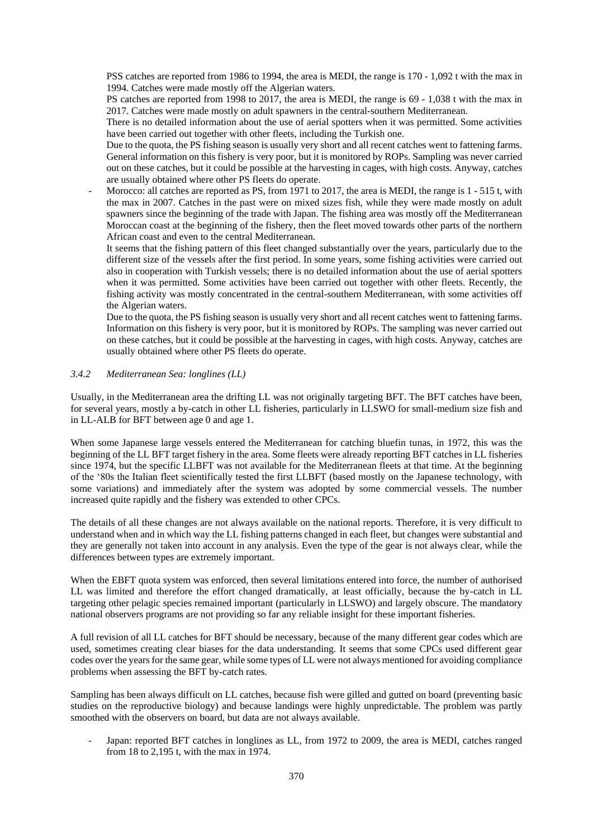PSS catches are reported from 1986 to 1994, the area is MEDI, the range is 170 - 1,092 t with the max in 1994. Catches were made mostly off the Algerian waters.

PS catches are reported from 1998 to 2017, the area is MEDI, the range is 69 - 1,038 t with the max in 2017. Catches were made mostly on adult spawners in the central-southern Mediterranean.

There is no detailed information about the use of aerial spotters when it was permitted. Some activities have been carried out together with other fleets, including the Turkish one.

Due to the quota, the PS fishing season is usually very short and all recent catches went to fattening farms. General information on this fishery is very poor, but it is monitored by ROPs. Sampling was never carried out on these catches, but it could be possible at the harvesting in cages, with high costs. Anyway, catches are usually obtained where other PS fleets do operate.

Morocco: all catches are reported as PS, from 1971 to 2017, the area is MEDI, the range is 1 - 515 t, with the max in 2007. Catches in the past were on mixed sizes fish, while they were made mostly on adult spawners since the beginning of the trade with Japan. The fishing area was mostly off the Mediterranean Moroccan coast at the beginning of the fishery, then the fleet moved towards other parts of the northern African coast and even to the central Mediterranean.

It seems that the fishing pattern of this fleet changed substantially over the years, particularly due to the different size of the vessels after the first period. In some years, some fishing activities were carried out also in cooperation with Turkish vessels; there is no detailed information about the use of aerial spotters when it was permitted. Some activities have been carried out together with other fleets. Recently, the fishing activity was mostly concentrated in the central-southern Mediterranean, with some activities off the Algerian waters.

Due to the quota, the PS fishing season is usually very short and all recent catches went to fattening farms. Information on this fishery is very poor, but it is monitored by ROPs. The sampling was never carried out on these catches, but it could be possible at the harvesting in cages, with high costs. Anyway, catches are usually obtained where other PS fleets do operate.

### *3.4.2 Mediterranean Sea: longlines (LL)*

Usually, in the Mediterranean area the drifting LL was not originally targeting BFT. The BFT catches have been, for several years, mostly a by-catch in other LL fisheries, particularly in LLSWO for small-medium size fish and in LL-ALB for BFT between age 0 and age 1.

When some Japanese large vessels entered the Mediterranean for catching bluefin tunas, in 1972, this was the beginning of the LL BFT target fishery in the area. Some fleets were already reporting BFT catches in LL fisheries since 1974, but the specific LLBFT was not available for the Mediterranean fleets at that time. At the beginning of the '80s the Italian fleet scientifically tested the first LLBFT (based mostly on the Japanese technology, with some variations) and immediately after the system was adopted by some commercial vessels. The number increased quite rapidly and the fishery was extended to other CPCs.

The details of all these changes are not always available on the national reports. Therefore, it is very difficult to understand when and in which way the LL fishing patterns changed in each fleet, but changes were substantial and they are generally not taken into account in any analysis. Even the type of the gear is not always clear, while the differences between types are extremely important.

When the EBFT quota system was enforced, then several limitations entered into force, the number of authorised LL was limited and therefore the effort changed dramatically, at least officially, because the by-catch in LL targeting other pelagic species remained important (particularly in LLSWO) and largely obscure. The mandatory national observers programs are not providing so far any reliable insight for these important fisheries.

A full revision of all LL catches for BFT should be necessary, because of the many different gear codes which are used, sometimes creating clear biases for the data understanding. It seems that some CPCs used different gear codes over the years for the same gear, while some types of LL were not always mentioned for avoiding compliance problems when assessing the BFT by-catch rates.

Sampling has been always difficult on LL catches, because fish were gilled and gutted on board (preventing basic studies on the reproductive biology) and because landings were highly unpredictable. The problem was partly smoothed with the observers on board, but data are not always available.

Japan: reported BFT catches in longlines as LL, from 1972 to 2009, the area is MEDI, catches ranged from 18 to 2,195 t, with the max in 1974.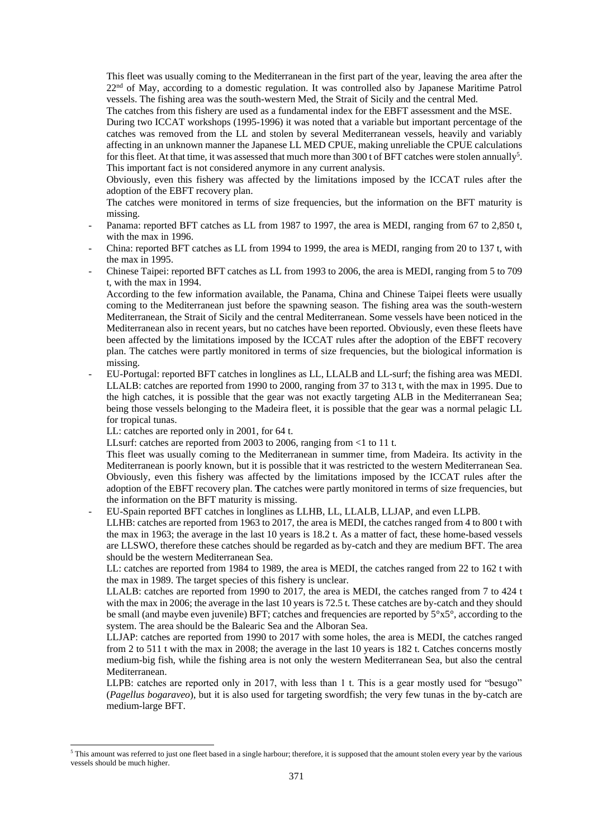This fleet was usually coming to the Mediterranean in the first part of the year, leaving the area after the  $22<sup>nd</sup>$  of May, according to a domestic regulation. It was controlled also by Japanese Maritime Patrol vessels. The fishing area was the south-western Med, the Strait of Sicily and the central Med.

The catches from this fishery are used as a fundamental index for the EBFT assessment and the MSE.

During two ICCAT workshops (1995-1996) it was noted that a variable but important percentage of the catches was removed from the LL and stolen by several Mediterranean vessels, heavily and variably affecting in an unknown manner the Japanese LL MED CPUE, making unreliable the CPUE calculations for this fleet. At that time, it was assessed that much more than 300 t of BFT catches were stolen annually<sup>5</sup>. This important fact is not considered anymore in any current analysis.

Obviously, even this fishery was affected by the limitations imposed by the ICCAT rules after the adoption of the EBFT recovery plan.

The catches were monitored in terms of size frequencies, but the information on the BFT maturity is missing.

- Panama: reported BFT catches as LL from 1987 to 1997, the area is MEDI, ranging from 67 to 2,850 t, with the max in 1996.
- China: reported BFT catches as LL from 1994 to 1999, the area is MEDI, ranging from 20 to 137 t, with the max in 1995.
- Chinese Taipei: reported BFT catches as LL from 1993 to 2006, the area is MEDI, ranging from 5 to 709 t, with the max in 1994.

According to the few information available, the Panama, China and Chinese Taipei fleets were usually coming to the Mediterranean just before the spawning season. The fishing area was the south-western Mediterranean, the Strait of Sicily and the central Mediterranean. Some vessels have been noticed in the Mediterranean also in recent years, but no catches have been reported. Obviously, even these fleets have been affected by the limitations imposed by the ICCAT rules after the adoption of the EBFT recovery plan. The catches were partly monitored in terms of size frequencies, but the biological information is missing.

- EU-Portugal: reported BFT catches in longlines as LL, LLALB and LL-surf; the fishing area was MEDI. LLALB: catches are reported from 1990 to 2000, ranging from 37 to 313 t, with the max in 1995. Due to the high catches, it is possible that the gear was not exactly targeting ALB in the Mediterranean Sea; being those vessels belonging to the Madeira fleet, it is possible that the gear was a normal pelagic LL for tropical tunas.

LL: catches are reported only in 2001, for 64 t.

LLsurf: catches are reported from 2003 to 2006, ranging from <1 to 11 t.

This fleet was usually coming to the Mediterranean in summer time, from Madeira. Its activity in the Mediterranean is poorly known, but it is possible that it was restricted to the western Mediterranean Sea. Obviously, even this fishery was affected by the limitations imposed by the ICCAT rules after the adoption of the EBFT recovery plan. **T**he catches were partly monitored in terms of size frequencies, but the information on the BFT maturity is missing.

- EU-Spain reported BFT catches in longlines as LLHB, LL, LLALB, LLJAP, and even LLPB.

LLHB: catches are reported from 1963 to 2017, the area is MEDI, the catches ranged from 4 to 800 t with the max in 1963; the average in the last 10 years is 18.2 t. As a matter of fact, these home-based vessels are LLSWO, therefore these catches should be regarded as by-catch and they are medium BFT. The area should be the western Mediterranean Sea.

LL: catches are reported from 1984 to 1989, the area is MEDI, the catches ranged from 22 to 162 t with the max in 1989. The target species of this fishery is unclear.

LLALB: catches are reported from 1990 to 2017, the area is MEDI, the catches ranged from 7 to 424 t with the max in 2006; the average in the last 10 years is 72.5 t. These catches are by-catch and they should be small (and maybe even juvenile) BFT; catches and frequencies are reported by  $5^{\circ}x5^{\circ}$ , according to the system. The area should be the Balearic Sea and the Alboran Sea.

LLJAP: catches are reported from 1990 to 2017 with some holes, the area is MEDI, the catches ranged from 2 to 511 t with the max in 2008; the average in the last 10 years is 182 t. Catches concerns mostly medium-big fish, while the fishing area is not only the western Mediterranean Sea, but also the central Mediterranean.

LLPB: catches are reported only in 2017, with less than 1 t. This is a gear mostly used for "besugo" (*Pagellus bogaraveo*), but it is also used for targeting swordfish; the very few tunas in the by-catch are medium-large BFT.

<sup>&</sup>lt;sup>5</sup> This amount was referred to just one fleet based in a single harbour; therefore, it is supposed that the amount stolen every year by the various vessels should be much higher.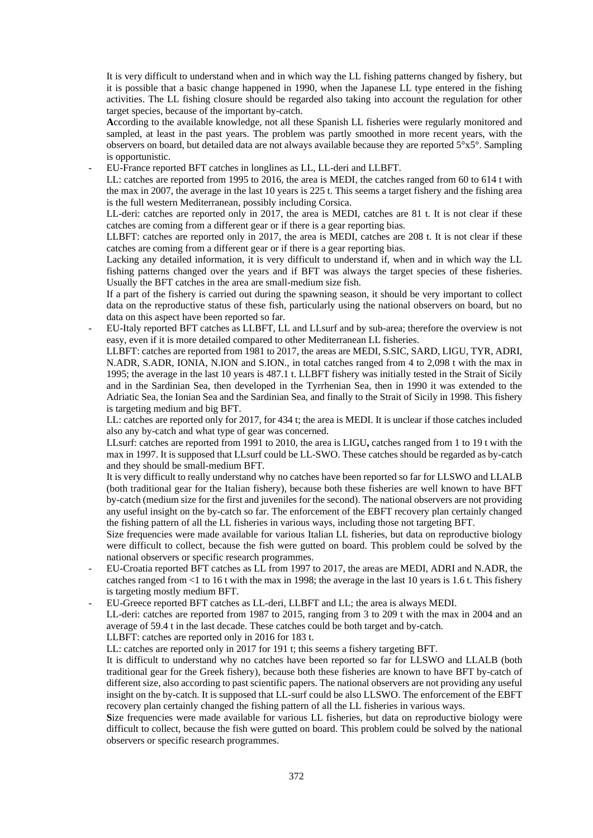It is very difficult to understand when and in which way the LL fishing patterns changed by fishery, but it is possible that a basic change happened in 1990, when the Japanese LL type entered in the fishing activities. The LL fishing closure should be regarded also taking into account the regulation for other target species, because of the important by-catch.

- **A**ccording to the available knowledge, not all these Spanish LL fisheries were regularly monitored and sampled, at least in the past years. The problem was partly smoothed in more recent years, with the observers on board, but detailed data are not always available because they are reported  $5^\circ x 5^\circ$ . Sampling is opportunistic.
- EU-France reported BFT catches in longlines as LL, LL-deri and LLBFT.

LL: catches are reported from 1995 to 2016, the area is MEDI, the catches ranged from 60 to 614 t with the max in 2007, the average in the last 10 years is 225 t. This seems a target fishery and the fishing area is the full western Mediterranean, possibly including Corsica.

LL-deri: catches are reported only in 2017, the area is MEDI, catches are 81 t. It is not clear if these catches are coming from a different gear or if there is a gear reporting bias.

LLBFT: catches are reported only in 2017, the area is MEDI, catches are 208 t. It is not clear if these catches are coming from a different gear or if there is a gear reporting bias.

Lacking any detailed information, it is very difficult to understand if, when and in which way the LL fishing patterns changed over the years and if BFT was always the target species of these fisheries. Usually the BFT catches in the area are small-medium size fish.

If a part of the fishery is carried out during the spawning season, it should be very important to collect data on the reproductive status of these fish, particularly using the national observers on board, but no data on this aspect have been reported so far.

- EU-Italy reported BFT catches as LLBFT, LL and LLsurf and by sub-area; therefore the overview is not easy, even if it is more detailed compared to other Mediterranean LL fisheries.

LLBFT: catches are reported from 1981 to 2017, the areas are MEDI, S.SIC, SARD, LIGU, TYR, ADRI, N.ADR, S.ADR, IONIA, N.ION and S.ION., in total catches ranged from 4 to 2,098 t with the max in 1995; the average in the last 10 years is 487.1 t. LLBFT fishery was initially tested in the Strait of Sicily and in the Sardinian Sea, then developed in the Tyrrhenian Sea, then in 1990 it was extended to the Adriatic Sea, the Ionian Sea and the Sardinian Sea, and finally to the Strait of Sicily in 1998. This fishery is targeting medium and big BFT.

LL: catches are reported only for 2017, for 434 t; the area is MEDI. It is unclear if those catches included also any by-catch and what type of gear was concerned.

LLsurf: catches are reported from 1991 to 2010, the area is LIGU**,** catches ranged from 1 to 19 t with the max in 1997. It is supposed that LLsurf could be LL-SWO. These catches should be regarded as by-catch and they should be small-medium BFT.

It is very difficult to really understand why no catches have been reported so far for LLSWO and LLALB (both traditional gear for the Italian fishery), because both these fisheries are well known to have BFT by-catch (medium size for the first and juveniles for the second). The national observers are not providing any useful insight on the by-catch so far. The enforcement of the EBFT recovery plan certainly changed the fishing pattern of all the LL fisheries in various ways, including those not targeting BFT.

Size frequencies were made available for various Italian LL fisheries, but data on reproductive biology were difficult to collect, because the fish were gutted on board. This problem could be solved by the national observers or specific research programmes.

- EU-Croatia reported BFT catches as LL from 1997 to 2017, the areas are MEDI, ADRI and N.ADR, the catches ranged from <1 to 16 t with the max in 1998; the average in the last 10 years is 1.6 t. This fishery is targeting mostly medium BFT.
- EU-Greece reported BFT catches as LL-deri, LLBFT and LL; the area is always MEDI.

LL-deri: catches are reported from 1987 to 2015, ranging from 3 to 209 t with the max in 2004 and an average of 59.4 t in the last decade. These catches could be both target and by-catch.

LLBFT: catches are reported only in 2016 for 183 t.

LL: catches are reported only in 2017 for 191 t; this seems a fishery targeting BFT.

It is difficult to understand why no catches have been reported so far for LLSWO and LLALB (both traditional gear for the Greek fishery), because both these fisheries are known to have BFT by-catch of different size, also according to past scientific papers. The national observers are not providing any useful insight on the by-catch. It is supposed that LL-surf could be also LLSWO. The enforcement of the EBFT recovery plan certainly changed the fishing pattern of all the LL fisheries in various ways.

**S**ize frequencies were made available for various LL fisheries, but data on reproductive biology were difficult to collect, because the fish were gutted on board. This problem could be solved by the national observers or specific research programmes.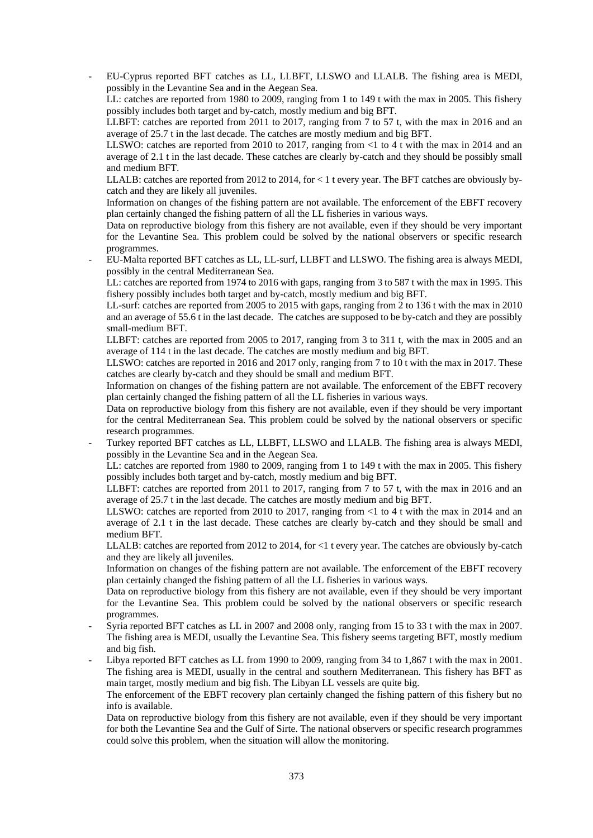- EU-Cyprus reported BFT catches as LL, LLBFT, LLSWO and LLALB. The fishing area is MEDI, possibly in the Levantine Sea and in the Aegean Sea.

LL: catches are reported from 1980 to 2009, ranging from 1 to 149 t with the max in 2005. This fishery possibly includes both target and by-catch, mostly medium and big BFT.

LLBFT: catches are reported from 2011 to 2017, ranging from 7 to 57 t, with the max in 2016 and an average of 25.7 t in the last decade. The catches are mostly medium and big BFT.

LLSWO: catches are reported from 2010 to 2017, ranging from  $\leq 1$  to 4 t with the max in 2014 and an average of 2.1 t in the last decade. These catches are clearly by-catch and they should be possibly small and medium BFT.

LLALB: catches are reported from 2012 to 2014, for < 1 t every year. The BFT catches are obviously bycatch and they are likely all juveniles.

Information on changes of the fishing pattern are not available. The enforcement of the EBFT recovery plan certainly changed the fishing pattern of all the LL fisheries in various ways.

Data on reproductive biology from this fishery are not available, even if they should be very important for the Levantine Sea. This problem could be solved by the national observers or specific research programmes.

- EU-Malta reported BFT catches as LL, LL-surf, LLBFT and LLSWO. The fishing area is always MEDI, possibly in the central Mediterranean Sea.

LL: catches are reported from 1974 to 2016 with gaps, ranging from 3 to 587 t with the max in 1995. This fishery possibly includes both target and by-catch, mostly medium and big BFT.

LL-surf: catches are reported from 2005 to 2015 with gaps, ranging from 2 to 136 t with the max in 2010 and an average of 55.6 t in the last decade. The catches are supposed to be by-catch and they are possibly small-medium BFT.

LLBFT: catches are reported from 2005 to 2017, ranging from 3 to 311 t, with the max in 2005 and an average of 114 t in the last decade. The catches are mostly medium and big BFT.

LLSWO: catches are reported in 2016 and 2017 only, ranging from 7 to 10 t with the max in 2017. These catches are clearly by-catch and they should be small and medium BFT.

Information on changes of the fishing pattern are not available. The enforcement of the EBFT recovery plan certainly changed the fishing pattern of all the LL fisheries in various ways.

Data on reproductive biology from this fishery are not available, even if they should be very important for the central Mediterranean Sea. This problem could be solved by the national observers or specific research programmes.

Turkey reported BFT catches as LL, LLBFT, LLSWO and LLALB. The fishing area is always MEDI, possibly in the Levantine Sea and in the Aegean Sea.

LL: catches are reported from 1980 to 2009, ranging from 1 to 149 t with the max in 2005. This fishery possibly includes both target and by-catch, mostly medium and big BFT.

LLBFT: catches are reported from 2011 to 2017, ranging from 7 to 57 t, with the max in 2016 and an average of 25.7 t in the last decade. The catches are mostly medium and big BFT.

LLSWO: catches are reported from 2010 to 2017, ranging from <1 to 4 t with the max in 2014 and an average of 2.1 t in the last decade. These catches are clearly by-catch and they should be small and medium BFT.

LLALB: catches are reported from 2012 to 2014, for <1 t every year. The catches are obviously by-catch and they are likely all juveniles.

Information on changes of the fishing pattern are not available. The enforcement of the EBFT recovery plan certainly changed the fishing pattern of all the LL fisheries in various ways.

Data on reproductive biology from this fishery are not available, even if they should be very important for the Levantine Sea. This problem could be solved by the national observers or specific research programmes.

- Syria reported BFT catches as LL in 2007 and 2008 only, ranging from 15 to 33 t with the max in 2007. The fishing area is MEDI, usually the Levantine Sea. This fishery seems targeting BFT, mostly medium and big fish.

Libya reported BFT catches as LL from 1990 to 2009, ranging from 34 to 1,867 t with the max in 2001. The fishing area is MEDI, usually in the central and southern Mediterranean. This fishery has BFT as main target, mostly medium and big fish. The Libyan LL vessels are quite big.

The enforcement of the EBFT recovery plan certainly changed the fishing pattern of this fishery but no info is available.

Data on reproductive biology from this fishery are not available, even if they should be very important for both the Levantine Sea and the Gulf of Sirte. The national observers or specific research programmes could solve this problem, when the situation will allow the monitoring.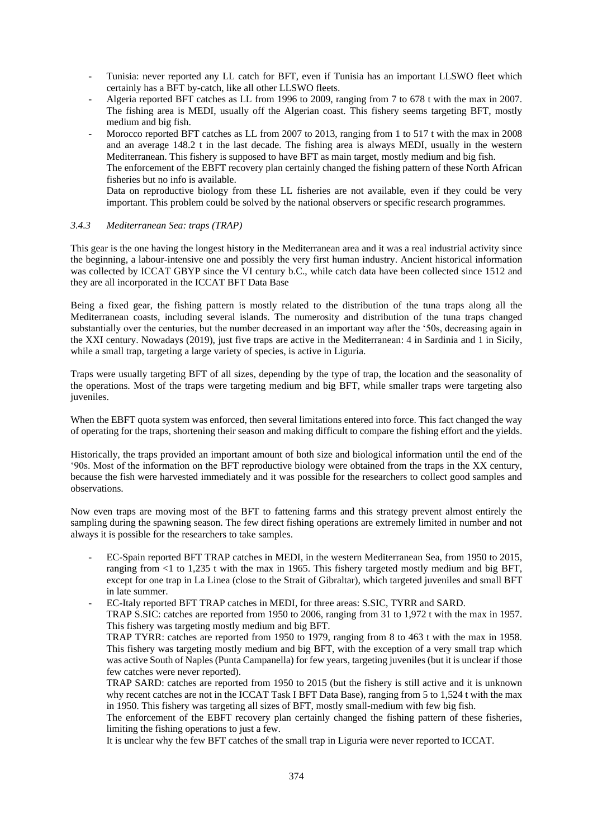- Tunisia: never reported any LL catch for BFT, even if Tunisia has an important LLSWO fleet which certainly has a BFT by-catch, like all other LLSWO fleets.
- Algeria reported BFT catches as LL from 1996 to 2009, ranging from 7 to 678 t with the max in 2007. The fishing area is MEDI, usually off the Algerian coast. This fishery seems targeting BFT, mostly medium and big fish.
- Morocco reported BFT catches as LL from 2007 to 2013, ranging from 1 to 517 t with the max in 2008 and an average 148.2 t in the last decade. The fishing area is always MEDI, usually in the western Mediterranean. This fishery is supposed to have BFT as main target, mostly medium and big fish. The enforcement of the EBFT recovery plan certainly changed the fishing pattern of these North African fisheries but no info is available. Data on reproductive biology from these LL fisheries are not available, even if they could be very important. This problem could be solved by the national observers or specific research programmes.

#### *3.4.3 Mediterranean Sea: traps (TRAP)*

This gear is the one having the longest history in the Mediterranean area and it was a real industrial activity since the beginning, a labour-intensive one and possibly the very first human industry. Ancient historical information was collected by ICCAT GBYP since the VI century b.C., while catch data have been collected since 1512 and they are all incorporated in the ICCAT BFT Data Base

Being a fixed gear, the fishing pattern is mostly related to the distribution of the tuna traps along all the Mediterranean coasts, including several islands. The numerosity and distribution of the tuna traps changed substantially over the centuries, but the number decreased in an important way after the '50s, decreasing again in the XXI century. Nowadays (2019), just five traps are active in the Mediterranean: 4 in Sardinia and 1 in Sicily, while a small trap, targeting a large variety of species, is active in Liguria.

Traps were usually targeting BFT of all sizes, depending by the type of trap, the location and the seasonality of the operations. Most of the traps were targeting medium and big BFT, while smaller traps were targeting also juveniles.

When the EBFT quota system was enforced, then several limitations entered into force. This fact changed the way of operating for the traps, shortening their season and making difficult to compare the fishing effort and the yields.

Historically, the traps provided an important amount of both size and biological information until the end of the '90s. Most of the information on the BFT reproductive biology were obtained from the traps in the XX century, because the fish were harvested immediately and it was possible for the researchers to collect good samples and observations.

Now even traps are moving most of the BFT to fattening farms and this strategy prevent almost entirely the sampling during the spawning season. The few direct fishing operations are extremely limited in number and not always it is possible for the researchers to take samples.

- EC-Spain reported BFT TRAP catches in MEDI, in the western Mediterranean Sea, from 1950 to 2015, ranging from <1 to 1,235 t with the max in 1965. This fishery targeted mostly medium and big BFT, except for one trap in La Linea (close to the Strait of Gibraltar), which targeted juveniles and small BFT in late summer.

- EC-Italy reported BFT TRAP catches in MEDI, for three areas: S.SIC, TYRR and SARD. TRAP S.SIC: catches are reported from 1950 to 2006, ranging from 31 to 1,972 t with the max in 1957. This fishery was targeting mostly medium and big BFT.

TRAP TYRR: catches are reported from 1950 to 1979, ranging from 8 to 463 t with the max in 1958. This fishery was targeting mostly medium and big BFT, with the exception of a very small trap which was active South of Naples (Punta Campanella) for few years, targeting juveniles (but it is unclear if those few catches were never reported).

TRAP SARD: catches are reported from 1950 to 2015 (but the fishery is still active and it is unknown why recent catches are not in the ICCAT Task I BFT Data Base), ranging from 5 to 1,524 t with the max in 1950. This fishery was targeting all sizes of BFT, mostly small-medium with few big fish.

The enforcement of the EBFT recovery plan certainly changed the fishing pattern of these fisheries, limiting the fishing operations to just a few.

It is unclear why the few BFT catches of the small trap in Liguria were never reported to ICCAT.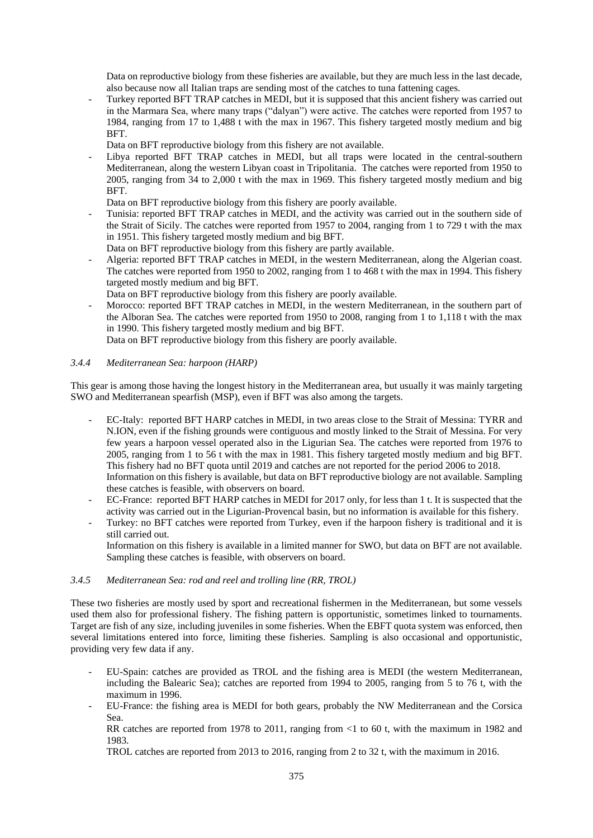Data on reproductive biology from these fisheries are available, but they are much less in the last decade, also because now all Italian traps are sending most of the catches to tuna fattening cages.

- Turkey reported BFT TRAP catches in MEDI, but it is supposed that this ancient fishery was carried out in the Marmara Sea, where many traps ("dalyan") were active. The catches were reported from 1957 to 1984, ranging from 17 to 1,488 t with the max in 1967. This fishery targeted mostly medium and big BFT.

Data on BFT reproductive biology from this fishery are not available.

Libya reported BFT TRAP catches in MEDI, but all traps were located in the central-southern Mediterranean, along the western Libyan coast in Tripolitania. The catches were reported from 1950 to 2005, ranging from 34 to 2,000 t with the max in 1969. This fishery targeted mostly medium and big BFT.

Data on BFT reproductive biology from this fishery are poorly available.

- Tunisia: reported BFT TRAP catches in MEDI, and the activity was carried out in the southern side of the Strait of Sicily. The catches were reported from 1957 to 2004, ranging from 1 to 729 t with the max in 1951. This fishery targeted mostly medium and big BFT.
	- Data on BFT reproductive biology from this fishery are partly available.
- Algeria: reported BFT TRAP catches in MEDI, in the western Mediterranean, along the Algerian coast. The catches were reported from 1950 to 2002, ranging from 1 to 468 t with the max in 1994. This fishery targeted mostly medium and big BFT.
- Data on BFT reproductive biology from this fishery are poorly available.
- Morocco: reported BFT TRAP catches in MEDI, in the western Mediterranean, in the southern part of the Alboran Sea. The catches were reported from 1950 to 2008, ranging from 1 to 1,118 t with the max in 1990. This fishery targeted mostly medium and big BFT.

Data on BFT reproductive biology from this fishery are poorly available.

### *3.4.4 Mediterranean Sea: harpoon (HARP)*

This gear is among those having the longest history in the Mediterranean area, but usually it was mainly targeting SWO and Mediterranean spearfish (MSP), even if BFT was also among the targets.

- EC-Italy: reported BFT HARP catches in MEDI, in two areas close to the Strait of Messina: TYRR and N.ION, even if the fishing grounds were contiguous and mostly linked to the Strait of Messina. For very few years a harpoon vessel operated also in the Ligurian Sea. The catches were reported from 1976 to 2005, ranging from 1 to 56 t with the max in 1981. This fishery targeted mostly medium and big BFT. This fishery had no BFT quota until 2019 and catches are not reported for the period 2006 to 2018. Information on this fishery is available, but data on BFT reproductive biology are not available. Sampling these catches is feasible, with observers on board.
- EC-France: reported BFT HARP catches in MEDI for 2017 only, for less than 1 t. It is suspected that the activity was carried out in the Ligurian-Provencal basin, but no information is available for this fishery.
- Turkey: no BFT catches were reported from Turkey, even if the harpoon fishery is traditional and it is still carried out.

Information on this fishery is available in a limited manner for SWO, but data on BFT are not available. Sampling these catches is feasible, with observers on board.

#### *3.4.5 Mediterranean Sea: rod and reel and trolling line (RR, TROL)*

These two fisheries are mostly used by sport and recreational fishermen in the Mediterranean, but some vessels used them also for professional fishery. The fishing pattern is opportunistic, sometimes linked to tournaments. Target are fish of any size, including juveniles in some fisheries. When the EBFT quota system was enforced, then several limitations entered into force, limiting these fisheries. Sampling is also occasional and opportunistic, providing very few data if any.

- EU-Spain: catches are provided as TROL and the fishing area is MEDI (the western Mediterranean, including the Balearic Sea); catches are reported from 1994 to 2005, ranging from 5 to 76 t, with the maximum in 1996.
- EU-France: the fishing area is MEDI for both gears, probably the NW Mediterranean and the Corsica Sea.

RR catches are reported from 1978 to 2011, ranging from <1 to 60 t, with the maximum in 1982 and 1983.

TROL catches are reported from 2013 to 2016, ranging from 2 to 32 t, with the maximum in 2016.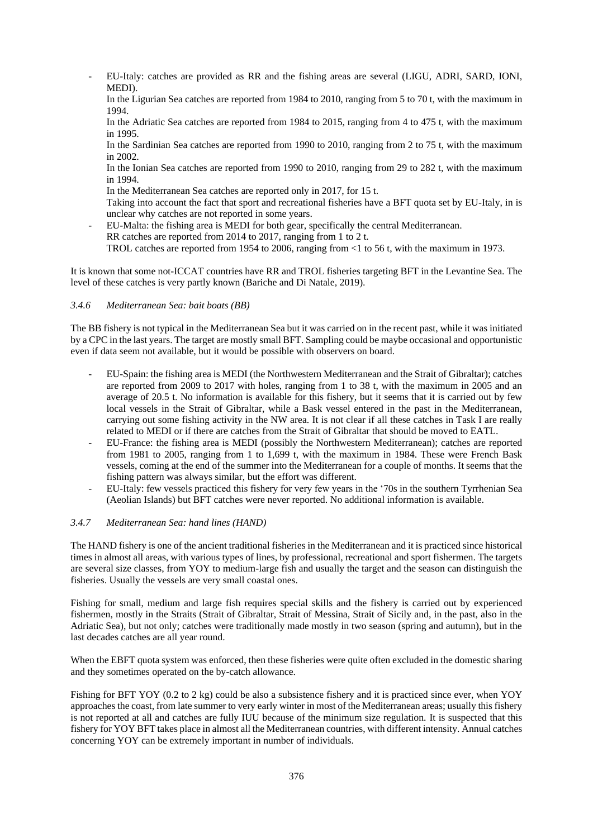- EU-Italy: catches are provided as RR and the fishing areas are several (LIGU, ADRI, SARD, IONI, MEDI).

In the Ligurian Sea catches are reported from 1984 to 2010, ranging from 5 to 70 t, with the maximum in 1994.

In the Adriatic Sea catches are reported from 1984 to 2015, ranging from 4 to 475 t, with the maximum in 1995.

In the Sardinian Sea catches are reported from 1990 to 2010, ranging from 2 to 75 t, with the maximum in 2002.

In the Ionian Sea catches are reported from 1990 to 2010, ranging from 29 to 282 t, with the maximum in 1994.

In the Mediterranean Sea catches are reported only in 2017, for 15 t.

Taking into account the fact that sport and recreational fisheries have a BFT quota set by EU-Italy, in is unclear why catches are not reported in some years.

- EU-Malta: the fishing area is MEDI for both gear, specifically the central Mediterranean. RR catches are reported from 2014 to 2017, ranging from 1 to 2 t.

TROL catches are reported from 1954 to 2006, ranging from <1 to 56 t, with the maximum in 1973.

It is known that some not-ICCAT countries have RR and TROL fisheries targeting BFT in the Levantine Sea. The level of these catches is very partly known (Bariche and Di Natale, 2019).

### *3.4.6 Mediterranean Sea: bait boats (BB)*

The BB fishery is not typical in the Mediterranean Sea but it was carried on in the recent past, while it was initiated by a CPC in the last years. The target are mostly small BFT. Sampling could be maybe occasional and opportunistic even if data seem not available, but it would be possible with observers on board.

- EU-Spain: the fishing area is MEDI (the Northwestern Mediterranean and the Strait of Gibraltar); catches are reported from 2009 to 2017 with holes, ranging from 1 to 38 t, with the maximum in 2005 and an average of 20.5 t. No information is available for this fishery, but it seems that it is carried out by few local vessels in the Strait of Gibraltar, while a Bask vessel entered in the past in the Mediterranean, carrying out some fishing activity in the NW area. It is not clear if all these catches in Task I are really related to MEDI or if there are catches from the Strait of Gibraltar that should be moved to EATL.
- EU-France: the fishing area is MEDI (possibly the Northwestern Mediterranean); catches are reported from 1981 to 2005, ranging from 1 to 1,699 t, with the maximum in 1984. These were French Bask vessels, coming at the end of the summer into the Mediterranean for a couple of months. It seems that the fishing pattern was always similar, but the effort was different.
- EU-Italy: few vessels practiced this fishery for very few years in the '70s in the southern Tyrrhenian Sea (Aeolian Islands) but BFT catches were never reported. No additional information is available.

#### *3.4.7 Mediterranean Sea: hand lines (HAND)*

The HAND fishery is one of the ancient traditional fisheries in the Mediterranean and it is practiced since historical times in almost all areas, with various types of lines, by professional, recreational and sport fishermen. The targets are several size classes, from YOY to medium-large fish and usually the target and the season can distinguish the fisheries. Usually the vessels are very small coastal ones.

Fishing for small, medium and large fish requires special skills and the fishery is carried out by experienced fishermen, mostly in the Straits (Strait of Gibraltar, Strait of Messina, Strait of Sicily and, in the past, also in the Adriatic Sea), but not only; catches were traditionally made mostly in two season (spring and autumn), but in the last decades catches are all year round.

When the EBFT quota system was enforced, then these fisheries were quite often excluded in the domestic sharing and they sometimes operated on the by-catch allowance.

Fishing for BFT YOY (0.2 to 2 kg) could be also a subsistence fishery and it is practiced since ever, when YOY approaches the coast, from late summer to very early winter in most of the Mediterranean areas; usually this fishery is not reported at all and catches are fully IUU because of the minimum size regulation. It is suspected that this fishery for YOY BFT takes place in almost all the Mediterranean countries, with different intensity. Annual catches concerning YOY can be extremely important in number of individuals.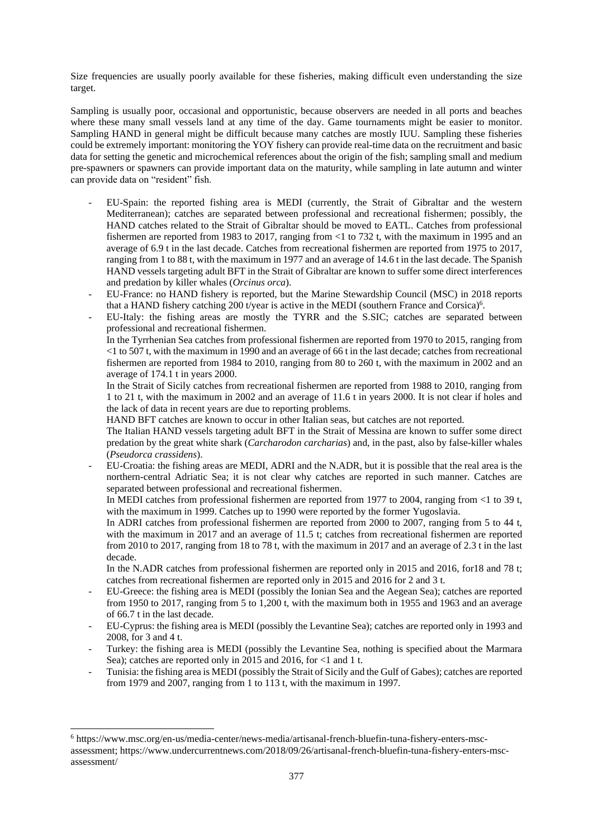Size frequencies are usually poorly available for these fisheries, making difficult even understanding the size target.

Sampling is usually poor, occasional and opportunistic, because observers are needed in all ports and beaches where these many small vessels land at any time of the day. Game tournaments might be easier to monitor. Sampling HAND in general might be difficult because many catches are mostly IUU. Sampling these fisheries could be extremely important: monitoring the YOY fishery can provide real-time data on the recruitment and basic data for setting the genetic and microchemical references about the origin of the fish; sampling small and medium pre-spawners or spawners can provide important data on the maturity, while sampling in late autumn and winter can provide data on "resident" fish.

- EU-Spain: the reported fishing area is MEDI (currently, the Strait of Gibraltar and the western Mediterranean); catches are separated between professional and recreational fishermen; possibly, the HAND catches related to the Strait of Gibraltar should be moved to EATL. Catches from professional fishermen are reported from 1983 to 2017, ranging from <1 to 732 t, with the maximum in 1995 and an average of 6.9 t in the last decade. Catches from recreational fishermen are reported from 1975 to 2017, ranging from 1 to 88 t, with the maximum in 1977 and an average of 14.6 t in the last decade. The Spanish HAND vessels targeting adult BFT in the Strait of Gibraltar are known to suffer some direct interferences and predation by killer whales (*Orcinus orca*).
- EU-France: no HAND fishery is reported, but the Marine Stewardship Council (MSC) in 2018 reports that a HAND fishery catching 200 t/year is active in the MEDI (southern France and Corsica)<sup>6</sup>.
- EU-Italy: the fishing areas are mostly the TYRR and the S.SIC; catches are separated between professional and recreational fishermen.

In the Tyrrhenian Sea catches from professional fishermen are reported from 1970 to 2015, ranging from <1 to 507 t, with the maximum in 1990 and an average of 66 t in the last decade; catches from recreational fishermen are reported from 1984 to 2010, ranging from 80 to 260 t, with the maximum in 2002 and an average of 174.1 t in years 2000.

In the Strait of Sicily catches from recreational fishermen are reported from 1988 to 2010, ranging from 1 to 21 t, with the maximum in 2002 and an average of 11.6 t in years 2000. It is not clear if holes and the lack of data in recent years are due to reporting problems.

HAND BFT catches are known to occur in other Italian seas, but catches are not reported.

The Italian HAND vessels targeting adult BFT in the Strait of Messina are known to suffer some direct predation by the great white shark (*Carcharodon carcharias*) and, in the past, also by false-killer whales (*Pseudorca crassidens*).

- EU-Croatia: the fishing areas are MEDI, ADRI and the N.ADR, but it is possible that the real area is the northern-central Adriatic Sea; it is not clear why catches are reported in such manner. Catches are separated between professional and recreational fishermen.

In MEDI catches from professional fishermen are reported from 1977 to 2004, ranging from <1 to 39 t, with the maximum in 1999. Catches up to 1990 were reported by the former Yugoslavia.

In ADRI catches from professional fishermen are reported from 2000 to 2007, ranging from 5 to 44 t, with the maximum in 2017 and an average of 11.5 t; catches from recreational fishermen are reported from 2010 to 2017, ranging from 18 to 78 t, with the maximum in 2017 and an average of 2.3 t in the last decade.

In the N.ADR catches from professional fishermen are reported only in 2015 and 2016, for18 and 78 t; catches from recreational fishermen are reported only in 2015 and 2016 for 2 and 3 t.

- EU-Greece: the fishing area is MEDI (possibly the Ionian Sea and the Aegean Sea); catches are reported from 1950 to 2017, ranging from 5 to 1,200 t, with the maximum both in 1955 and 1963 and an average of 66.7 t in the last decade.
- EU-Cyprus: the fishing area is MEDI (possibly the Levantine Sea); catches are reported only in 1993 and 2008, for 3 and 4 t.
- Turkey: the fishing area is MEDI (possibly the Levantine Sea, nothing is specified about the Marmara Sea); catches are reported only in 2015 and 2016, for <1 and 1 t.
- Tunisia: the fishing area is MEDI (possibly the Strait of Sicily and the Gulf of Gabes); catches are reported from 1979 and 2007, ranging from 1 to 113 t, with the maximum in 1997.

<sup>6</sup> [https://www.msc.org/en-us/media-center/news-media/artisanal-french-bluefin-tuna-fishery-enters-msc](https://www.msc.org/en-us/media-center/news-media/artisanal-french-bluefin-tuna-fishery-enters-msc-assessment)[assessment;](https://www.msc.org/en-us/media-center/news-media/artisanal-french-bluefin-tuna-fishery-enters-msc-assessment) [https://www.undercurrentnews.com/2018/09/26/artisanal-french-bluefin-tuna-fishery-enters-msc](https://www.undercurrentnews.com/2018/09/26/artisanal-french-bluefin-tuna-fishery-enters-msc-assessment/)[assessment/](https://www.undercurrentnews.com/2018/09/26/artisanal-french-bluefin-tuna-fishery-enters-msc-assessment/)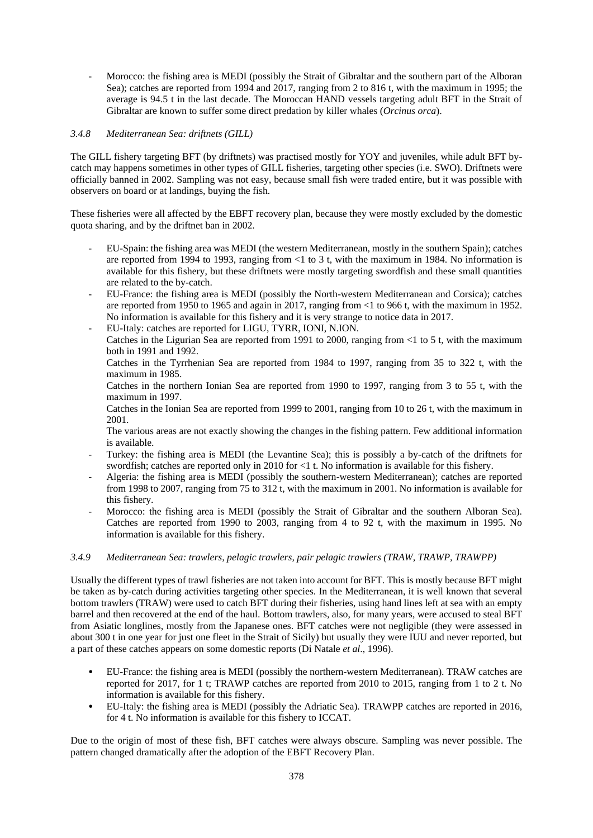Morocco: the fishing area is MEDI (possibly the Strait of Gibraltar and the southern part of the Alboran Sea); catches are reported from 1994 and 2017, ranging from 2 to 816 t, with the maximum in 1995; the average is 94.5 t in the last decade. The Moroccan HAND vessels targeting adult BFT in the Strait of Gibraltar are known to suffer some direct predation by killer whales (*Orcinus orca*).

## *3.4.8 Mediterranean Sea: driftnets (GILL)*

The GILL fishery targeting BFT (by driftnets) was practised mostly for YOY and juveniles, while adult BFT bycatch may happens sometimes in other types of GILL fisheries, targeting other species (i.e. SWO). Driftnets were officially banned in 2002. Sampling was not easy, because small fish were traded entire, but it was possible with observers on board or at landings, buying the fish.

These fisheries were all affected by the EBFT recovery plan, because they were mostly excluded by the domestic quota sharing, and by the driftnet ban in 2002.

- EU-Spain: the fishing area was MEDI (the western Mediterranean, mostly in the southern Spain); catches are reported from 1994 to 1993, ranging from  $\leq 1$  to 3 t, with the maximum in 1984. No information is available for this fishery, but these driftnets were mostly targeting swordfish and these small quantities are related to the by-catch.
- EU-France: the fishing area is MEDI (possibly the North-western Mediterranean and Corsica); catches are reported from 1950 to 1965 and again in 2017, ranging from <1 to 966 t, with the maximum in 1952. No information is available for this fishery and it is very strange to notice data in 2017.
- EU-Italy: catches are reported for LIGU, TYRR, IONI, N.ION.

Catches in the Ligurian Sea are reported from 1991 to 2000, ranging from <1 to 5 t, with the maximum both in 1991 and 1992.

Catches in the Tyrrhenian Sea are reported from 1984 to 1997, ranging from 35 to 322 t, with the maximum in 1985.

Catches in the northern Ionian Sea are reported from 1990 to 1997, ranging from 3 to 55 t, with the maximum in 1997.

Catches in the Ionian Sea are reported from 1999 to 2001, ranging from 10 to 26 t, with the maximum in 2001.

The various areas are not exactly showing the changes in the fishing pattern. Few additional information is available.

- Turkey: the fishing area is MEDI (the Levantine Sea); this is possibly a by-catch of the driftnets for swordfish; catches are reported only in 2010 for <1 t. No information is available for this fishery.
- Algeria: the fishing area is MEDI (possibly the southern-western Mediterranean); catches are reported from 1998 to 2007, ranging from 75 to 312 t, with the maximum in 2001. No information is available for this fishery.
- Morocco: the fishing area is MEDI (possibly the Strait of Gibraltar and the southern Alboran Sea). Catches are reported from 1990 to 2003, ranging from 4 to 92 t, with the maximum in 1995. No information is available for this fishery.

### *3.4.9 Mediterranean Sea: trawlers, pelagic trawlers, pair pelagic trawlers (TRAW, TRAWP, TRAWPP)*

Usually the different types of trawl fisheries are not taken into account for BFT. This is mostly because BFT might be taken as by-catch during activities targeting other species. In the Mediterranean, it is well known that several bottom trawlers (TRAW) were used to catch BFT during their fisheries, using hand lines left at sea with an empty barrel and then recovered at the end of the haul. Bottom trawlers, also, for many years, were accused to steal BFT from Asiatic longlines, mostly from the Japanese ones. BFT catches were not negligible (they were assessed in about 300 t in one year for just one fleet in the Strait of Sicily) but usually they were IUU and never reported, but a part of these catches appears on some domestic reports (Di Natale *et al*., 1996).

- EU-France: the fishing area is MEDI (possibly the northern-western Mediterranean). TRAW catches are reported for 2017, for 1 t; TRAWP catches are reported from 2010 to 2015, ranging from 1 to 2 t. No information is available for this fishery.
- EU-Italy: the fishing area is MEDI (possibly the Adriatic Sea). TRAWPP catches are reported in 2016, for 4 t. No information is available for this fishery to ICCAT.

Due to the origin of most of these fish, BFT catches were always obscure. Sampling was never possible. The pattern changed dramatically after the adoption of the EBFT Recovery Plan.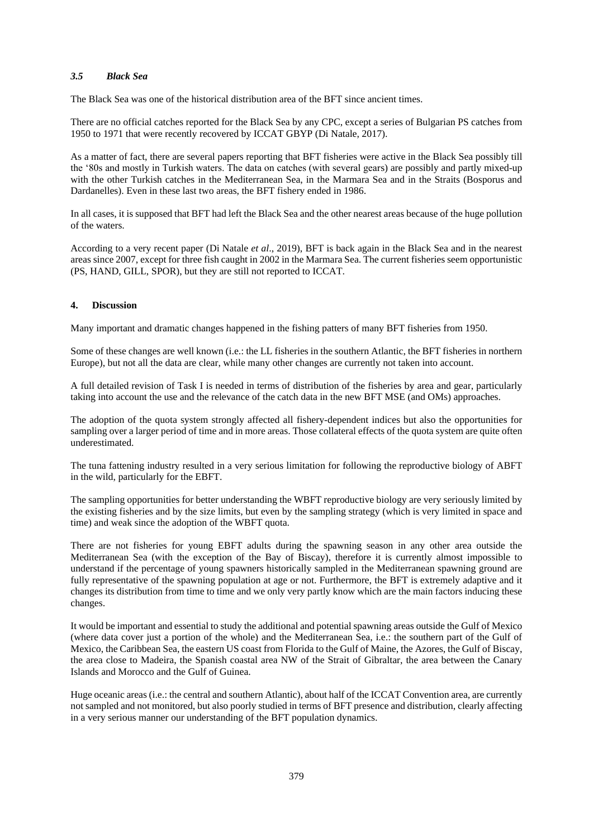### *3.5 Black Sea*

The Black Sea was one of the historical distribution area of the BFT since ancient times.

There are no official catches reported for the Black Sea by any CPC, except a series of Bulgarian PS catches from 1950 to 1971 that were recently recovered by ICCAT GBYP (Di Natale, 2017).

As a matter of fact, there are several papers reporting that BFT fisheries were active in the Black Sea possibly till the '80s and mostly in Turkish waters. The data on catches (with several gears) are possibly and partly mixed-up with the other Turkish catches in the Mediterranean Sea, in the Marmara Sea and in the Straits (Bosporus and Dardanelles). Even in these last two areas, the BFT fishery ended in 1986.

In all cases, it is supposed that BFT had left the Black Sea and the other nearest areas because of the huge pollution of the waters.

According to a very recent paper (Di Natale *et al*., 2019), BFT is back again in the Black Sea and in the nearest areas since 2007, except for three fish caught in 2002 in the Marmara Sea. The current fisheries seem opportunistic (PS, HAND, GILL, SPOR), but they are still not reported to ICCAT.

### **4. Discussion**

Many important and dramatic changes happened in the fishing patters of many BFT fisheries from 1950.

Some of these changes are well known (i.e.: the LL fisheries in the southern Atlantic, the BFT fisheries in northern Europe), but not all the data are clear, while many other changes are currently not taken into account.

A full detailed revision of Task I is needed in terms of distribution of the fisheries by area and gear, particularly taking into account the use and the relevance of the catch data in the new BFT MSE (and OMs) approaches.

The adoption of the quota system strongly affected all fishery-dependent indices but also the opportunities for sampling over a larger period of time and in more areas. Those collateral effects of the quota system are quite often underestimated.

The tuna fattening industry resulted in a very serious limitation for following the reproductive biology of ABFT in the wild, particularly for the EBFT.

The sampling opportunities for better understanding the WBFT reproductive biology are very seriously limited by the existing fisheries and by the size limits, but even by the sampling strategy (which is very limited in space and time) and weak since the adoption of the WBFT quota.

There are not fisheries for young EBFT adults during the spawning season in any other area outside the Mediterranean Sea (with the exception of the Bay of Biscay), therefore it is currently almost impossible to understand if the percentage of young spawners historically sampled in the Mediterranean spawning ground are fully representative of the spawning population at age or not. Furthermore, the BFT is extremely adaptive and it changes its distribution from time to time and we only very partly know which are the main factors inducing these changes.

It would be important and essential to study the additional and potential spawning areas outside the Gulf of Mexico (where data cover just a portion of the whole) and the Mediterranean Sea, i.e.: the southern part of the Gulf of Mexico, the Caribbean Sea, the eastern US coast from Florida to the Gulf of Maine, the Azores, the Gulf of Biscay, the area close to Madeira, the Spanish coastal area NW of the Strait of Gibraltar, the area between the Canary Islands and Morocco and the Gulf of Guinea.

Huge oceanic areas (i.e.: the central and southern Atlantic), about half of the ICCAT Convention area, are currently not sampled and not monitored, but also poorly studied in terms of BFT presence and distribution, clearly affecting in a very serious manner our understanding of the BFT population dynamics.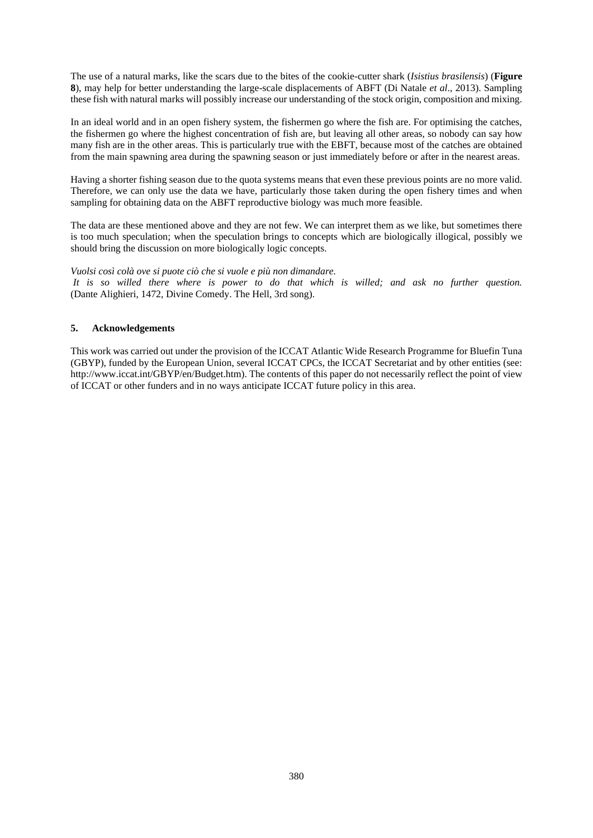The use of a natural marks, like the scars due to the bites of the cookie-cutter shark (*Isistius brasilensis*) (**Figure 8**), may help for better understanding the large-scale displacements of ABFT (Di Natale *et al*., 2013). Sampling these fish with natural marks will possibly increase our understanding of the stock origin, composition and mixing.

In an ideal world and in an open fishery system, the fishermen go where the fish are. For optimising the catches, the fishermen go where the highest concentration of fish are, but leaving all other areas, so nobody can say how many fish are in the other areas. This is particularly true with the EBFT, because most of the catches are obtained from the main spawning area during the spawning season or just immediately before or after in the nearest areas.

Having a shorter fishing season due to the quota systems means that even these previous points are no more valid. Therefore, we can only use the data we have, particularly those taken during the open fishery times and when sampling for obtaining data on the ABFT reproductive biology was much more feasible.

The data are these mentioned above and they are not few. We can interpret them as we like, but sometimes there is too much speculation; when the speculation brings to concepts which are biologically illogical, possibly we should bring the discussion on more biologically logic concepts.

*Vuolsi così colà ove si puote ciò che si vuole e più non dimandare.* 

*It is so willed there where is power to do that which is willed; and ask no further question.* (Dante Alighieri, 1472, Divine Comedy. The Hell, 3rd song).

## **5. Acknowledgements**

This work was carried out under the provision of the ICCAT Atlantic Wide Research Programme for Bluefin Tuna (GBYP), funded by the European Union, several ICCAT CPCs, the ICCAT Secretariat and by other entities (see: http://www.iccat.int/GBYP/en/Budget.htm). The contents of this paper do not necessarily reflect the point of view of ICCAT or other funders and in no ways anticipate ICCAT future policy in this area.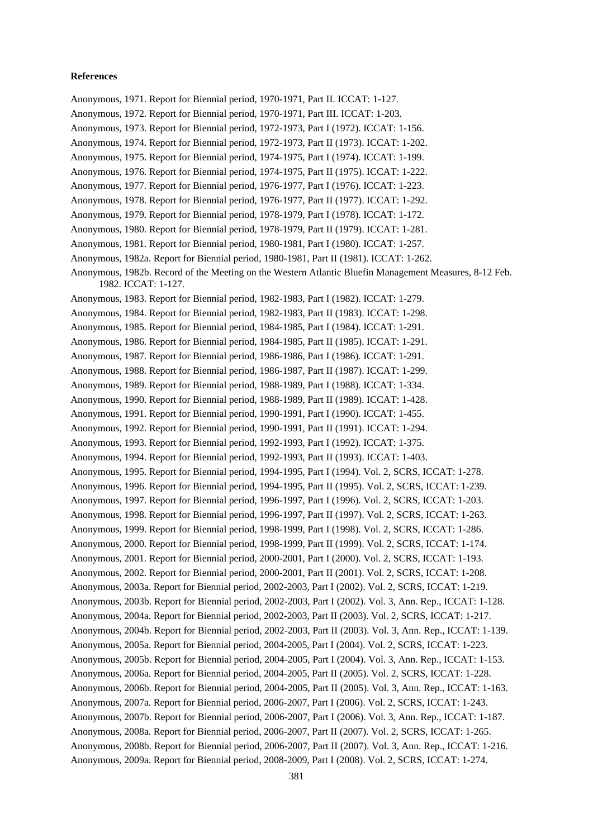#### **References**

Anonymous, 1971. Report for Biennial period, 1970-1971, Part II. ICCAT: 1-127. Anonymous, 1972. Report for Biennial period, 1970-1971, Part III. ICCAT: 1-203. Anonymous, 1973. Report for Biennial period, 1972-1973, Part I (1972). ICCAT: 1-156. Anonymous, 1974. Report for Biennial period, 1972-1973, Part II (1973). ICCAT: 1-202. Anonymous, 1975. Report for Biennial period, 1974-1975, Part I (1974). ICCAT: 1-199. Anonymous, 1976. Report for Biennial period, 1974-1975, Part II (1975). ICCAT: 1-222. Anonymous, 1977. Report for Biennial period, 1976-1977, Part I (1976). ICCAT: 1-223. Anonymous, 1978. Report for Biennial period, 1976-1977, Part II (1977). ICCAT: 1-292. Anonymous, 1979. Report for Biennial period, 1978-1979, Part I (1978). ICCAT: 1-172. Anonymous, 1980. Report for Biennial period, 1978-1979, Part II (1979). ICCAT: 1-281. Anonymous, 1981. Report for Biennial period, 1980-1981, Part I (1980). ICCAT: 1-257. Anonymous, 1982a. Report for Biennial period, 1980-1981, Part II (1981). ICCAT: 1-262. Anonymous, 1982b. Record of the Meeting on the Western Atlantic Bluefin Management Measures, 8-12 Feb. 1982. ICCAT: 1-127. Anonymous, 1983. Report for Biennial period, 1982-1983, Part I (1982). ICCAT: 1-279. Anonymous, 1984. Report for Biennial period, 1982-1983, Part II (1983). ICCAT: 1-298. Anonymous, 1985. Report for Biennial period, 1984-1985, Part I (1984). ICCAT: 1-291. Anonymous, 1986. Report for Biennial period, 1984-1985, Part II (1985). ICCAT: 1-291. Anonymous, 1987. Report for Biennial period, 1986-1986, Part I (1986). ICCAT: 1-291. Anonymous, 1988. Report for Biennial period, 1986-1987, Part II (1987). ICCAT: 1-299. Anonymous, 1989. Report for Biennial period, 1988-1989, Part I (1988). ICCAT: 1-334. Anonymous, 1990. Report for Biennial period, 1988-1989, Part II (1989). ICCAT: 1-428. Anonymous, 1991. Report for Biennial period, 1990-1991, Part I (1990). ICCAT: 1-455. Anonymous, 1992. Report for Biennial period, 1990-1991, Part II (1991). ICCAT: 1-294. Anonymous, 1993. Report for Biennial period, 1992-1993, Part I (1992). ICCAT: 1-375. Anonymous, 1994. Report for Biennial period, 1992-1993, Part II (1993). ICCAT: 1-403. Anonymous, 1995. Report for Biennial period, 1994-1995, Part I (1994). Vol. 2, SCRS, ICCAT: 1-278. Anonymous, 1996. Report for Biennial period, 1994-1995, Part II (1995). Vol. 2, SCRS, ICCAT: 1-239. Anonymous, 1997. Report for Biennial period, 1996-1997, Part I (1996). Vol. 2, SCRS, ICCAT: 1-203. Anonymous, 1998. Report for Biennial period, 1996-1997, Part II (1997). Vol. 2, SCRS, ICCAT: 1-263. Anonymous, 1999. Report for Biennial period, 1998-1999, Part I (1998). Vol. 2, SCRS, ICCAT: 1-286. Anonymous, 2000. Report for Biennial period, 1998-1999, Part II (1999). Vol. 2, SCRS, ICCAT: 1-174. Anonymous, 2001. Report for Biennial period, 2000-2001, Part I (2000). Vol. 2, SCRS, ICCAT: 1-193. Anonymous, 2002. Report for Biennial period, 2000-2001, Part II (2001). Vol. 2, SCRS, ICCAT: 1-208. Anonymous, 2003a. Report for Biennial period, 2002-2003, Part I (2002). Vol. 2, SCRS, ICCAT: 1-219. Anonymous, 2003b. Report for Biennial period, 2002-2003, Part I (2002). Vol. 3, Ann. Rep., ICCAT: 1-128. Anonymous, 2004a. Report for Biennial period, 2002-2003, Part II (2003). Vol. 2, SCRS, ICCAT: 1-217. Anonymous, 2004b. Report for Biennial period, 2002-2003, Part II (2003). Vol. 3, Ann. Rep., ICCAT: 1-139. Anonymous, 2005a. Report for Biennial period, 2004-2005, Part I (2004). Vol. 2, SCRS, ICCAT: 1-223. Anonymous, 2005b. Report for Biennial period, 2004-2005, Part I (2004). Vol. 3, Ann. Rep., ICCAT: 1-153. Anonymous, 2006a. Report for Biennial period, 2004-2005, Part II (2005). Vol. 2, SCRS, ICCAT: 1-228. Anonymous, 2006b. Report for Biennial period, 2004-2005, Part II (2005). Vol. 3, Ann. Rep., ICCAT: 1-163. Anonymous, 2007a. Report for Biennial period, 2006-2007, Part I (2006). Vol. 2, SCRS, ICCAT: 1-243. Anonymous, 2007b. Report for Biennial period, 2006-2007, Part I (2006). Vol. 3, Ann. Rep., ICCAT: 1-187. Anonymous, 2008a. Report for Biennial period, 2006-2007, Part II (2007). Vol. 2, SCRS, ICCAT: 1-265. Anonymous, 2008b. Report for Biennial period, 2006-2007, Part II (2007). Vol. 3, Ann. Rep., ICCAT: 1-216. Anonymous, 2009a. Report for Biennial period, 2008-2009, Part I (2008). Vol. 2, SCRS, ICCAT: 1-274.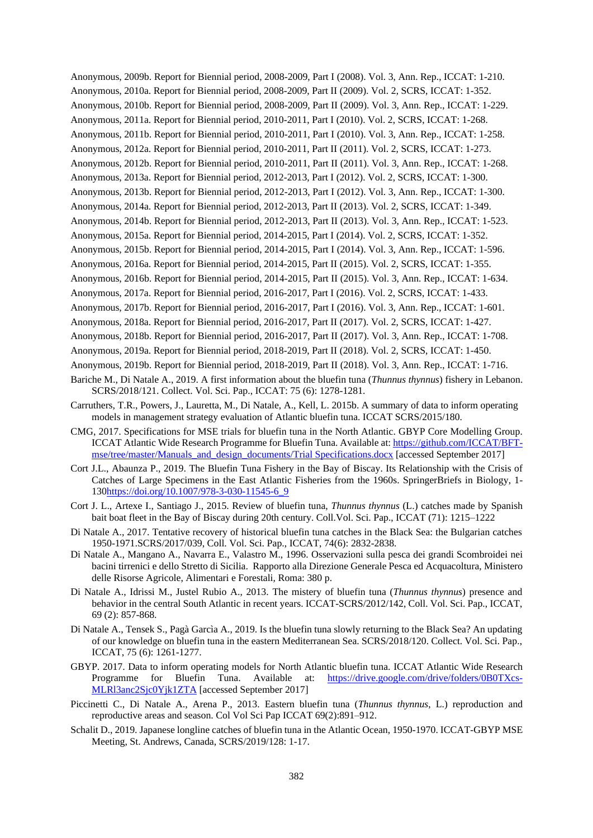Anonymous, 2009b. Report for Biennial period, 2008-2009, Part I (2008). Vol. 3, Ann. Rep., ICCAT: 1-210. Anonymous, 2010a. Report for Biennial period, 2008-2009, Part II (2009). Vol. 2, SCRS, ICCAT: 1-352.

Anonymous, 2010b. Report for Biennial period, 2008-2009, Part II (2009). Vol. 3, Ann. Rep., ICCAT: 1-229.

Anonymous, 2011a. Report for Biennial period, 2010-2011, Part I (2010). Vol. 2, SCRS, ICCAT: 1-268.

Anonymous, 2011b. Report for Biennial period, 2010-2011, Part I (2010). Vol. 3, Ann. Rep., ICCAT: 1-258.

Anonymous, 2012a. Report for Biennial period, 2010-2011, Part II (2011). Vol. 2, SCRS, ICCAT: 1-273.

Anonymous, 2012b. Report for Biennial period, 2010-2011, Part II (2011). Vol. 3, Ann. Rep., ICCAT: 1-268.

Anonymous, 2013a. Report for Biennial period, 2012-2013, Part I (2012). Vol. 2, SCRS, ICCAT: 1-300.

Anonymous, 2013b. Report for Biennial period, 2012-2013, Part I (2012). Vol. 3, Ann. Rep., ICCAT: 1-300.

Anonymous, 2014a. Report for Biennial period, 2012-2013, Part II (2013). Vol. 2, SCRS, ICCAT: 1-349.

Anonymous, 2014b. Report for Biennial period, 2012-2013, Part II (2013). Vol. 3, Ann. Rep., ICCAT: 1-523.

Anonymous, 2015a. Report for Biennial period, 2014-2015, Part I (2014). Vol. 2, SCRS, ICCAT: 1-352.

Anonymous, 2015b. Report for Biennial period, 2014-2015, Part I (2014). Vol. 3, Ann. Rep., ICCAT: 1-596.

Anonymous, 2016a. Report for Biennial period, 2014-2015, Part II (2015). Vol. 2, SCRS, ICCAT: 1-355.

Anonymous, 2016b. Report for Biennial period, 2014-2015, Part II (2015). Vol. 3, Ann. Rep., ICCAT: 1-634.

Anonymous, 2017a. Report for Biennial period, 2016-2017, Part I (2016). Vol. 2, SCRS, ICCAT: 1-433.

Anonymous, 2017b. Report for Biennial period, 2016-2017, Part I (2016). Vol. 3, Ann. Rep., ICCAT: 1-601.

Anonymous, 2018a. Report for Biennial period, 2016-2017, Part II (2017). Vol. 2, SCRS, ICCAT: 1-427.

Anonymous, 2018b. Report for Biennial period, 2016-2017, Part II (2017). Vol. 3, Ann. Rep., ICCAT: 1-708.

Anonymous, 2019a. Report for Biennial period, 2018-2019, Part II (2018). Vol. 2, SCRS, ICCAT: 1-450.

Anonymous, 2019b. Report for Biennial period, 2018-2019, Part II (2018). Vol. 3, Ann. Rep., ICCAT: 1-716.

- Bariche M., Di Natale A., 2019. A first information about the bluefin tuna (*Thunnus thynnus*) fishery in Lebanon. SCRS/2018/121. Collect. Vol. Sci. Pap., ICCAT: 75 (6): 1278-1281.
- Carruthers, T.R., Powers, J., Lauretta, M., Di Natale, A., Kell, L. 2015b. A summary of data to inform operating models in management strategy evaluation of Atlantic bluefin tuna. ICCAT SCRS/2015/180.
- CMG, 2017. Specifications for MSE trials for bluefin tuna in the North Atlantic. GBYP Core Modelling Group. ICCAT Atlantic Wide Research Programme for Bluefin Tuna. Available at[: https://github.com/ICCAT/BFT](https://github.com/ICCAT/abft-mse/tree/master/Manuals_and_design_documents/Trial%20Specifications.docx)[mse/tree/master/Manuals\\_and\\_design\\_documents/Trial](https://github.com/ICCAT/abft-mse/tree/master/Manuals_and_design_documents/Trial%20Specifications.docx) Specifications.docx [accessed September 2017]

Cort J.L., Abaunza P., 2019. The Bluefin Tuna Fishery in the Bay of Biscay. Its Relationship with the Crisis of Catches of Large Specimens in the East Atlantic Fisheries from the 1960s. SpringerBriefs in Biology, 1- 13[0https://doi.org/10.1007/978-3-030-11545-6\\_9](https://doi.org/10.1007/978-3-030-11545-6_9)

Cort J. L., Artexe I., Santiago J., 2015. Review of bluefin tuna, *Thunnus thynnus* (L.) catches made by Spanish bait boat fleet in the Bay of Biscay during 20th century. Coll.Vol. Sci. Pap., ICCAT (71): 1215–1222

Di Natale A., 2017. Tentative recovery of historical bluefin tuna catches in the Black Sea: the Bulgarian catches 1950-1971.SCRS/2017/039, Coll. Vol. Sci. Pap., ICCAT, 74(6): 2832-2838.

- Di Natale A., Mangano A., Navarra E., Valastro M., 1996. Osservazioni sulla pesca dei grandi Scombroidei nei bacini tirrenici e dello Stretto di Sicilia. Rapporto alla Direzione Generale Pesca ed Acquacoltura, Ministero delle Risorse Agricole, Alimentari e Forestali, Roma: 380 p.
- Di Natale A., Idrissi M., Justel Rubio A., 2013. The mistery of bluefin tuna (*Thunnus thynnus*) presence and behavior in the central South Atlantic in recent years. ICCAT-SCRS/2012/142, Coll. Vol. Sci. Pap., ICCAT, 69 (2): 857-868.
- Di Natale A., Tensek S., Pagà Garcìa A., 2019. Is the bluefin tuna slowly returning to the Black Sea? An updating of our knowledge on bluefin tuna in the eastern Mediterranean Sea. SCRS/2018/120. Collect. Vol. Sci. Pap., ICCAT, 75 (6): 1261-1277.
- GBYP. 2017. Data to inform operating models for North Atlantic bluefin tuna. ICCAT Atlantic Wide Research Programme for Bluefin Tuna. Available at: [https://drive.google.com/drive/folders/0B0TXcs-](https://drive.google.com/drive/folders/0B0TXcs-MLRl3anc2Sjc0Yjk1ZTA)[MLRl3anc2Sjc0Yjk1ZTA](https://drive.google.com/drive/folders/0B0TXcs-MLRl3anc2Sjc0Yjk1ZTA) [accessed September 2017]
- Piccinetti C., Di Natale A., Arena P., 2013. Eastern bluefin tuna (*Thunnus thynnus*, L.) reproduction and reproductive areas and season. Col Vol Sci Pap ICCAT 69(2):891–912.
- Schalit D., 2019. Japanese longline catches of bluefin tuna in the Atlantic Ocean, 1950-1970. ICCAT-GBYP MSE Meeting, St. Andrews, Canada, SCRS/2019/128: 1-17.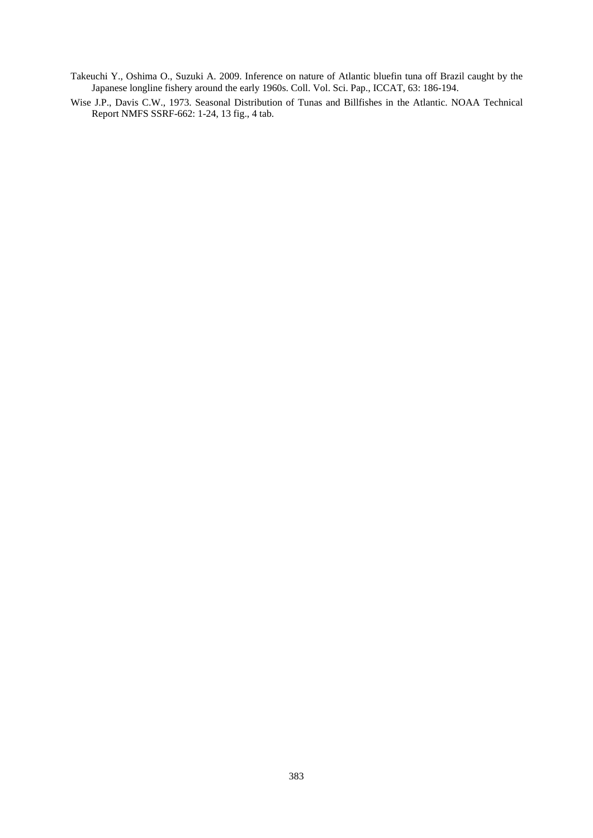Takeuchi Y., Oshima O., Suzuki A. 2009. Inference on nature of Atlantic bluefin tuna off Brazil caught by the Japanese longline fishery around the early 1960s. Coll. Vol. Sci. Pap., ICCAT, 63: 186-194.

Wise J.P., Davis C.W., 1973. Seasonal Distribution of Tunas and Billfishes in the Atlantic. NOAA Technical Report NMFS SSRF-662: 1-24, 13 fig., 4 tab.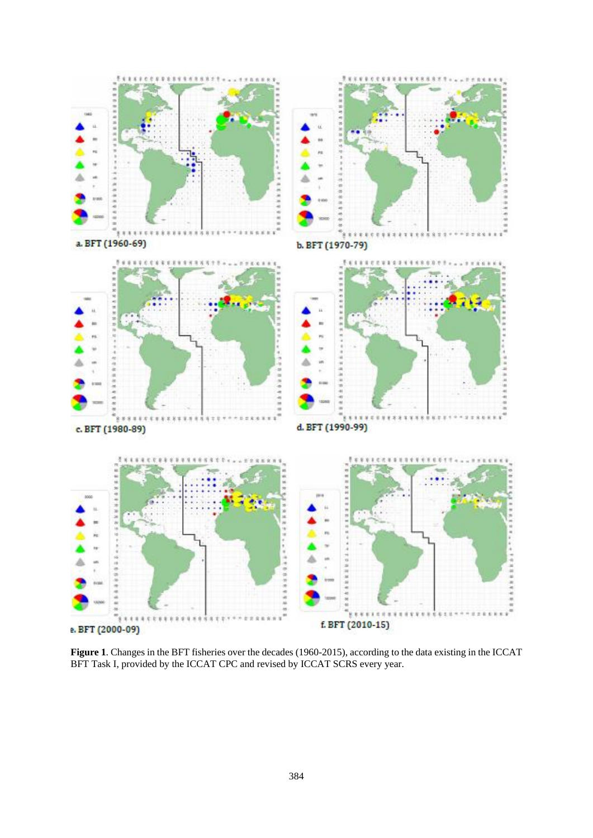

**Figure 1**. Changes in the BFT fisheries over the decades (1960-2015), according to the data existing in the ICCAT BFT Task I, provided by the ICCAT CPC and revised by ICCAT SCRS every year.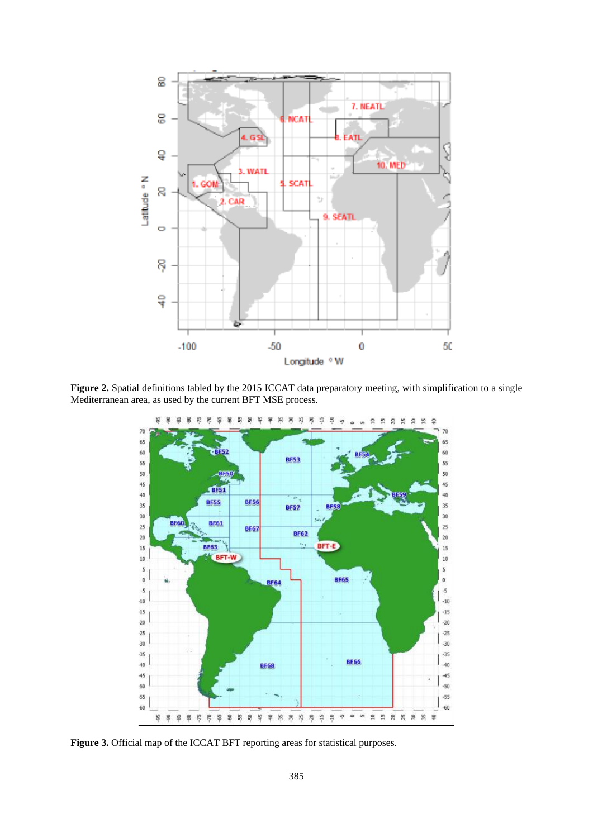

**Figure 2.** Spatial definitions tabled by the 2015 ICCAT data preparatory meeting, with simplification to a single Mediterranean area, as used by the current BFT MSE process.



**Figure 3.** Official map of the ICCAT BFT reporting areas for statistical purposes.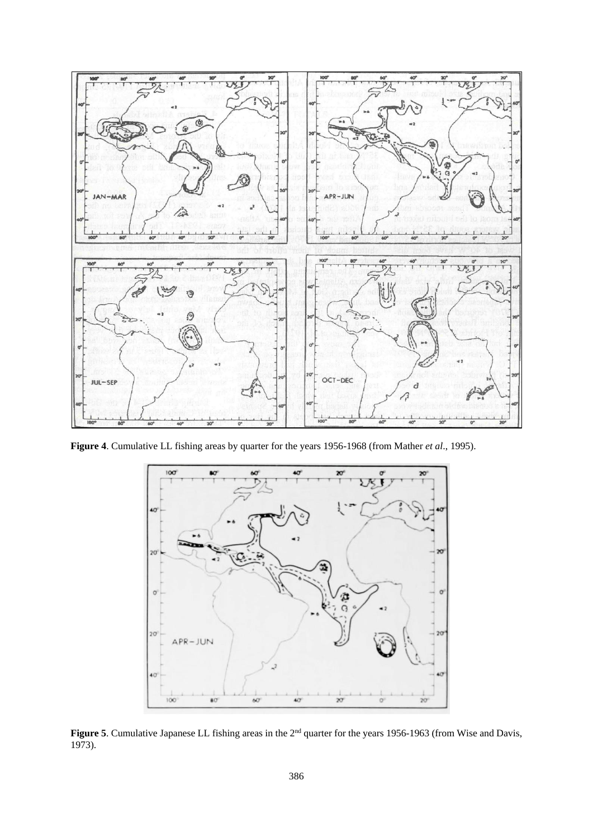

**Figure 4**. Cumulative LL fishing areas by quarter for the years 1956-1968 (from Mather *et al*., 1995).



Figure 5. Cumulative Japanese LL fishing areas in the 2<sup>nd</sup> quarter for the years 1956-1963 (from Wise and Davis, 1973).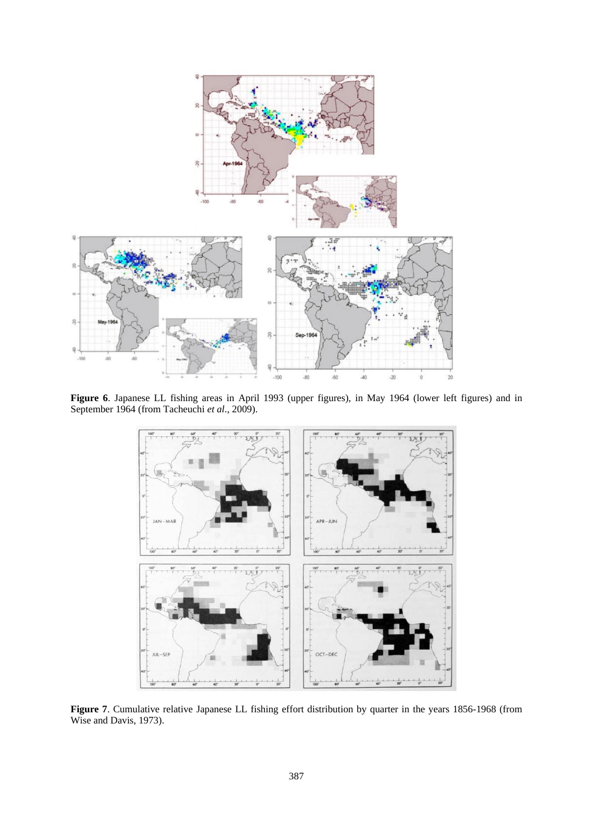

**Figure 6**. Japanese LL fishing areas in April 1993 (upper figures), in May 1964 (lower left figures) and in September 1964 (from Tacheuchi *et al*., 2009).



**Figure 7**. Cumulative relative Japanese LL fishing effort distribution by quarter in the years 1856-1968 (from Wise and Davis, 1973).